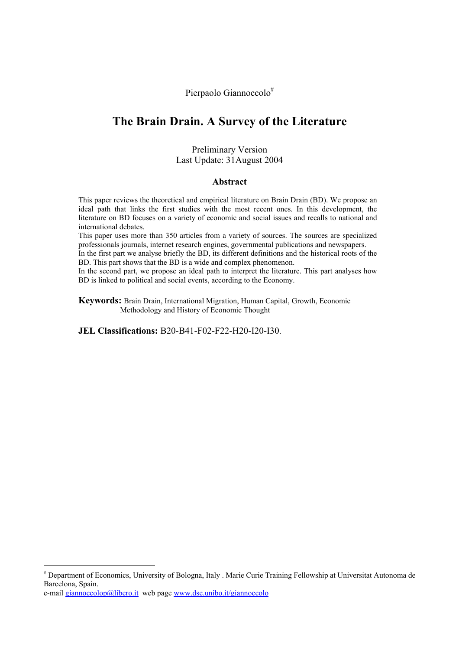Pierpaolo Giannoccolo<sup>#</sup>

# **The Brain Drain. A Survey of the Literature**

### Preliminary Version Last Update: 31August 2004

#### **Abstract**

This paper reviews the theoretical and empirical literature on Brain Drain (BD). We propose an ideal path that links the first studies with the most recent ones. In this development, the literature on BD focuses on a variety of economic and social issues and recalls to national and international debates.

This paper uses more than 350 articles from a variety of sources. The sources are specialized professionals journals, internet research engines, governmental publications and newspapers.

In the first part we analyse briefly the BD, its different definitions and the historical roots of the BD. This part shows that the BD is a wide and complex phenomenon.

In the second part, we propose an ideal path to interpret the literature. This part analyses how BD is linked to political and social events, according to the Economy.

**Keywords:** Brain Drain, International Migration, Human Capital, Growth, Economic Methodology and History of Economic Thought

**JEL Classifications:** B20-B41-F02-F22-H20-I20-I30.

 $\overline{a}$ 

<sup>#</sup> Department of Economics, University of Bologna, Italy . Marie Curie Training Fellowship at Universitat Autonoma de Barcelona, Spain.

e-mail giannoccolop@libero.it web page www.dse.unibo.it/giannoccolo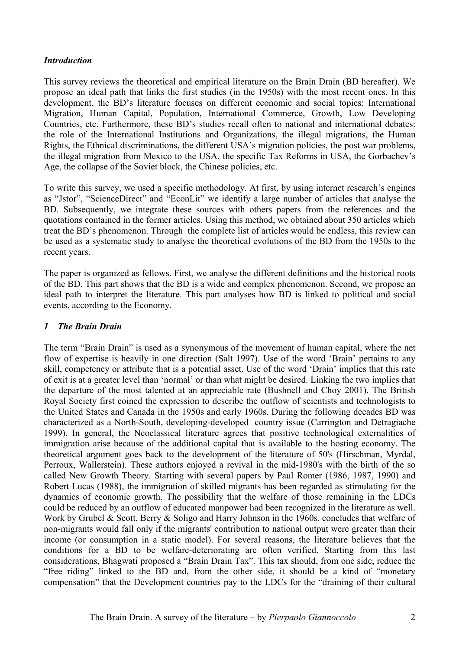## *Introduction*

This survey reviews the theoretical and empirical literature on the Brain Drain (BD hereafter). We propose an ideal path that links the first studies (in the 1950s) with the most recent ones. In this development, the BD's literature focuses on different economic and social topics: International Migration, Human Capital, Population, International Commerce, Growth, Low Developing Countries, etc. Furthermore, these BD's studies recall often to national and international debates: the role of the International Institutions and Organizations, the illegal migrations, the Human Rights, the Ethnical discriminations, the different USA's migration policies, the post war problems, the illegal migration from Mexico to the USA, the specific Tax Reforms in USA, the Gorbachev's Age, the collapse of the Soviet block, the Chinese policies, etc.

To write this survey, we used a specific methodology. At first, by using internet research's engines as "Jstor", "ScienceDirect" and "EconLit" we identify a large number of articles that analyse the BD. Subsequently, we integrate these sources with others papers from the references and the quotations contained in the former articles. Using this method, we obtained about 350 articles which treat the BD's phenomenon. Through the complete list of articles would be endless, this review can be used as a systematic study to analyse the theoretical evolutions of the BD from the 1950s to the recent years.

The paper is organized as fellows. First, we analyse the different definitions and the historical roots of the BD. This part shows that the BD is a wide and complex phenomenon. Second, we propose an ideal path to interpret the literature. This part analyses how BD is linked to political and social events, according to the Economy.

## *1 The Brain Drain*

The term "Brain Drain" is used as a synonymous of the movement of human capital, where the net flow of expertise is heavily in one direction (Salt 1997). Use of the word 'Brain' pertains to any skill, competency or attribute that is a potential asset. Use of the word 'Drain' implies that this rate of exit is at a greater level than 'normal' or than what might be desired. Linking the two implies that the departure of the most talented at an appreciable rate (Bushnell and Choy 2001). The British Royal Society first coined the expression to describe the outflow of scientists and technologists to the United States and Canada in the 1950s and early 1960s. During the following decades BD was characterized as a North-South, developing-developed country issue (Carrington and Detragiache 1999). In general, the Neoclassical literature agrees that positive technological externalities of immigration arise because of the additional capital that is available to the hosting economy. The theoretical argument goes back to the development of the literature of 50's (Hirschman, Myrdal, Perroux, Wallerstein). These authors enjoyed a revival in the mid-1980's with the birth of the so called New Growth Theory. Starting with several papers by Paul Romer (1986, 1987, 1990) and Robert Lucas (1988), the immigration of skilled migrants has been regarded as stimulating for the dynamics of economic growth. The possibility that the welfare of those remaining in the LDCs could be reduced by an outflow of educated manpower had been recognized in the literature as well. Work by Grubel & Scott, Berry & Soligo and Harry Johnson in the 1960s, concludes that welfare of non-migrants would fall only if the migrants' contribution to national output were greater than their income (or consumption in a static model). For several reasons, the literature believes that the conditions for a BD to be welfare-deteriorating are often verified. Starting from this last considerations, Bhagwati proposed a "Brain Drain Tax". This tax should, from one side, reduce the "free riding" linked to the BD and, from the other side, it should be a kind of "monetary compensation" that the Development countries pay to the LDCs for the "draining of their cultural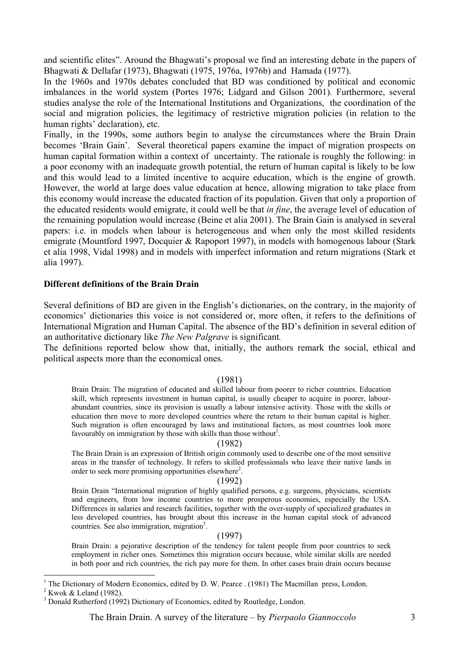and scientific elites". Around the Bhagwati's proposal we find an interesting debate in the papers of Bhagwati & Dellafar (1973), Bhagwati (1975, 1976a, 1976b) and Hamada (1977).

In the 1960s and 1970s debates concluded that BD was conditioned by political and economic imbalances in the world system (Portes 1976; Lidgard and Gilson 2001). Furthermore, several studies analyse the role of the International Institutions and Organizations, the coordination of the social and migration policies, the legitimacy of restrictive migration policies (in relation to the human rights' declaration), etc.

Finally, in the 1990s, some authors begin to analyse the circumstances where the Brain Drain becomes 'Brain Gain'. Several theoretical papers examine the impact of migration prospects on human capital formation within a context of uncertainty. The rationale is roughly the following: in a poor economy with an inadequate growth potential, the return of human capital is likely to be low and this would lead to a limited incentive to acquire education, which is the engine of growth. However, the world at large does value education at hence, allowing migration to take place from this economy would increase the educated fraction of its population. Given that only a proportion of the educated residents would emigrate, it could well be that *in fine*, the average level of education of the remaining population would increase (Beine et alia 2001). The Brain Gain is analysed in several papers: i.e. in models when labour is heterogeneous and when only the most skilled residents emigrate (Mountford 1997, Docquier & Rapoport 1997), in models with homogenous labour (Stark et alia 1998, Vidal 1998) and in models with imperfect information and return migrations (Stark et alia 1997).

### **Different definitions of the Brain Drain**

Several definitions of BD are given in the English's dictionaries, on the contrary, in the majority of economics' dictionaries this voice is not considered or, more often, it refers to the definitions of International Migration and Human Capital. The absence of the BD's definition in several edition of an authoritative dictionary like *The New Palgrave* is significant*.*

The definitions reported below show that, initially, the authors remark the social, ethical and political aspects more than the economical ones.

#### (1981)

Brain Drain: The migration of educated and skilled labour from poorer to richer countries. Education skill, which represents investment in human capital, is usually cheaper to acquire in poorer, labourabundant countries, since its provision is usually a labour intensive activity. Those with the skills or education then move to more developed countries where the return to their human capital is higher. Such migration is often encouraged by laws and institutional factors, as most countries look more favourably on immigration by those with skills than those without<sup>1</sup>.

#### (1982)

The Brain Drain is an expression of British origin commonly used to describe one of the most sensitive areas in the transfer of technology. It refers to skilled professionals who leave their native lands in order to seek more promising opportunities elsewhere<sup>2</sup>.

#### (1992)

Brain Drain "International migration of highly qualified persons, e.g. surgeons, physicians, scientists and engineers, from low income countries to more prosperous economies, especially the USA. Differences in salaries and research facilities, together with the over-supply of specialized graduates in less developed countries, has brought about this increase in the human capital stock of advanced countries. See also immigration, migration<sup>3</sup>.

#### (1997)

Brain Drain: a pejorative description of the tendency for talent people from poor countries to seek employment in richer ones. Sometimes this migration occurs because, while similar skills are needed in both poor and rich countries, the rich pay more for them. In other cases brain drain occurs because

 $\overline{a}$ 

The Brain Drain. A survey of the literature – by *Pierpaolo Giannoccolo* 3

<sup>1</sup> The Dictionary of Modern Economics, edited by D. W. Pearce . (1981) The Macmillan press, London. 2

 $2$  Kwok & Leland (1982).

<sup>&</sup>lt;sup>3</sup> Donald Rutherford (1992) Dictionary of Economics, edited by Routledge, London.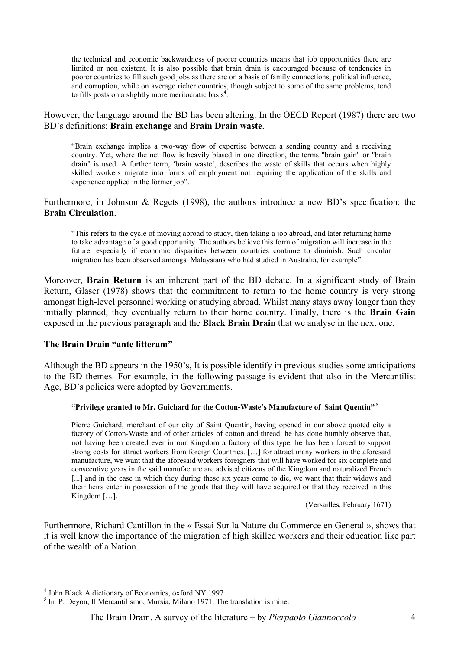the technical and economic backwardness of poorer countries means that job opportunities there are limited or non existent. It is also possible that brain drain is encouraged because of tendencies in poorer countries to fill such good jobs as there are on a basis of family connections, political influence, and corruption, while on average richer countries, though subject to some of the same problems, tend to fills posts on a slightly more meritocratic basis<sup>4</sup>.

However, the language around the BD has been altering. In the OECD Report (1987) there are two BD's definitions: **Brain exchange** and **Brain Drain waste**.

"Brain exchange implies a two-way flow of expertise between a sending country and a receiving country. Yet, where the net flow is heavily biased in one direction, the terms "brain gain" or "brain drain" is used. A further term, 'brain waste', describes the waste of skills that occurs when highly skilled workers migrate into forms of employment not requiring the application of the skills and experience applied in the former job".

### Furthermore, in Johnson & Regets (1998), the authors introduce a new BD's specification: the **Brain Circulation**.

"This refers to the cycle of moving abroad to study, then taking a job abroad, and later returning home to take advantage of a good opportunity. The authors believe this form of migration will increase in the future, especially if economic disparities between countries continue to diminish. Such circular migration has been observed amongst Malaysians who had studied in Australia, for example".

Moreover, **Brain Return** is an inherent part of the BD debate. In a significant study of Brain Return, Glaser (1978) shows that the commitment to return to the home country is very strong amongst high-level personnel working or studying abroad. Whilst many stays away longer than they initially planned, they eventually return to their home country. Finally, there is the **Brain Gain** exposed in the previous paragraph and the **Black Brain Drain** that we analyse in the next one.

### **The Brain Drain "ante litteram"**

Although the BD appears in the 1950's, It is possible identify in previous studies some anticipations to the BD themes. For example, in the following passage is evident that also in the Mercantilist Age, BD's policies were adopted by Governments.

#### **"Privilege granted to Mr. Guichard for the Cotton-Waste's Manufacture of Saint Quentin" 5**

Pierre Guichard, merchant of our city of Saint Quentin, having opened in our above quoted city a factory of Cotton-Waste and of other articles of cotton and thread, he has done humbly observe that, not having been created ever in our Kingdom a factory of this type, he has been forced to support strong costs for attract workers from foreign Countries. […] for attract many workers in the aforesaid manufacture, we want that the aforesaid workers foreigners that will have worked for six complete and consecutive years in the said manufacture are advised citizens of the Kingdom and naturalized French [...] and in the case in which they during these six years come to die, we want that their widows and their heirs enter in possession of the goods that they will have acquired or that they received in this Kingdom […].

(Versailles, February 1671)

Furthermore, Richard Cantillon in the « Essai Sur la Nature du Commerce en General », shows that it is well know the importance of the migration of high skilled workers and their education like part of the wealth of a Nation.

 $\overline{a}$ 

<sup>4</sup> John Black A dictionary of Economics, oxford NY 1997

 $<sup>5</sup>$  In P. Deyon, Il Mercantilismo, Mursia, Milano 1971. The translation is mine.</sup>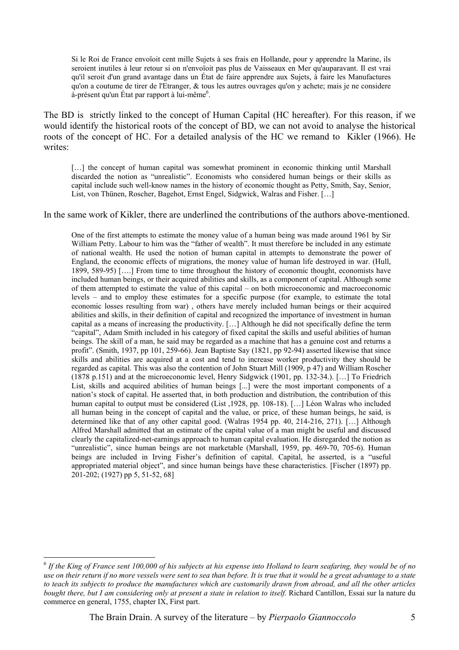Si le Roi de France envoïoit cent mille Sujets à ses frais en Hollande, pour y apprendre la Marine, ils seroient inutiles à leur retour si on n'envoïoit pas plus de Vaisseaux en Mer qu'auparavant. Il est vrai qu'il seroit d'un grand avantage dans un État de faire apprendre aux Sujets, à faire les Manufactures qu'on a coutume de tirer de l'Etranger, & tous les autres ouvrages qu'on y achete; mais je ne considere à-présent qu'un État par rapport à lui-même<sup>6</sup>.

The BD is strictly linked to the concept of Human Capital (HC hereafter). For this reason, if we would identify the historical roots of the concept of BD, we can not avoid to analyse the historical roots of the concept of HC. For a detailed analysis of the HC we remand to Kikler (1966). He writes:

[...] the concept of human capital was somewhat prominent in economic thinking until Marshall discarded the notion as "unrealistic". Economists who considered human beings or their skills as capital include such well-know names in the history of economic thought as Petty, Smith, Say, Senior, List, von Thünen, Roscher, Bagehot, Ernst Engel, Sidgwick, Walras and Fisher. […]

In the same work of Kikler, there are underlined the contributions of the authors above-mentioned.

One of the first attempts to estimate the money value of a human being was made around 1961 by Sir William Petty. Labour to him was the "father of wealth". It must therefore be included in any estimate of national wealth. He used the notion of human capital in attempts to demonstrate the power of England, the economic effects of migrations, the money value of human life destroyed in war. (Hull, 1899, 589-95) [….] From time to time throughout the history of economic thought, economists have included human beings, or their acquired abilities and skills, as a component of capital. Although some of them attempted to estimate the value of this capital – on both microeconomic and macroeconomic levels – and to employ these estimates for a specific purpose (for example, to estimate the total economic losses resulting from war) , others have merely included human beings or their acquired abilities and skills, in their definition of capital and recognized the importance of investment in human capital as a means of increasing the productivity. […] Although he did not specifically define the term "capital", Adam Smith included in his category of fixed capital the skills and useful abilities of human beings. The skill of a man, he said may be regarded as a machine that has a genuine cost and returns a profit". (Smith, 1937, pp 101, 259-66). Jean Baptiste Say (1821, pp 92-94) asserted likewise that since skills and abilities are acquired at a cost and tend to increase worker productivity they should be regarded as capital. This was also the contention of John Stuart Mill (1909, p 47) and William Roscher (1878 p.151) and at the microeconomic level, Henry Sidgwick (1901, pp. 132-34.). […] To Friedrich List, skills and acquired abilities of human beings [...] were the most important components of a nation's stock of capital. He asserted that, in both production and distribution, the contribution of this human capital to output must be considered (List, 1928, pp. 108-18). [...] Léon Walras who included all human being in the concept of capital and the value, or price, of these human beings, he said, is determined like that of any other capital good. (Walras 1954 pp. 40, 214-216, 271). […] Although Alfred Marshall admitted that an estimate of the capital value of a man might be useful and discussed clearly the capitalized-net-earnings approach to human capital evaluation. He disregarded the notion as "unrealistic", since human beings are not marketable (Marshall, 1959, pp. 469-70, 705-6). Human beings are included in Irving Fisher's definition of capital. Capital, he asserted, is a "useful appropriated material object", and since human beings have these characteristics. [Fischer (1897) pp. 201-202; (1927) pp 5, 51-52, 68]

 $\overline{a}$ 

<sup>6</sup> *If the King of France sent 100,000 of his subjects at his expense into Holland to learn seafaring, they would be of no use on their return if no more vessels were sent to sea than before. It is true that it would be a great advantage to a state to teach its subjects to produce the manufactures which are customarily drawn from abroad, and all the other articles bought there, but I am considering only at present a state in relation to itself.* Richard Cantillon, Essai sur la nature du commerce en general, 1755, chapter IX, First part.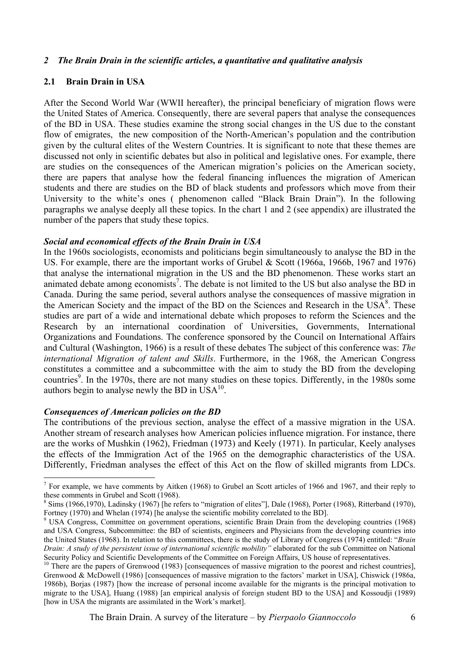## *2 The Brain Drain in the scientific articles, a quantitative and qualitative analysis*

## **2.1 Brain Drain in USA**

After the Second World War (WWII hereafter), the principal beneficiary of migration flows were the United States of America. Consequently, there are several papers that analyse the consequences of the BD in USA. These studies examine the strong social changes in the US due to the constant flow of emigrates, the new composition of the North-American's population and the contribution given by the cultural elites of the Western Countries. It is significant to note that these themes are discussed not only in scientific debates but also in political and legislative ones. For example, there are studies on the consequences of the American migration's policies on the American society, there are papers that analyse how the federal financing influences the migration of American students and there are studies on the BD of black students and professors which move from their University to the white's ones ( phenomenon called "Black Brain Drain"). In the following paragraphs we analyse deeply all these topics. In the chart 1 and 2 (see appendix) are illustrated the number of the papers that study these topics.

## *Social and economical effects of the Brain Drain in USA*

In the 1960s sociologists, economists and politicians begin simultaneously to analyse the BD in the US. For example, there are the important works of Grubel & Scott (1966a, 1966b, 1967 and 1976) that analyse the international migration in the US and the BD phenomenon. These works start an animated debate among economists<sup>7</sup>. The debate is not limited to the US but also analyse the BD in Canada. During the same period, several authors analyse the consequences of massive migration in the American Society and the impact of the BD on the Sciences and Research in the USA $<sup>8</sup>$ . These</sup> studies are part of a wide and international debate which proposes to reform the Sciences and the Research by an international coordination of Universities, Governments, International Organizations and Foundations. The conference sponsored by the Council on International Affairs and Cultural (Washington, 1966) is a result of these debates The subject of this conference was: *The international Migration of talent and Skills*. Furthermore, in the 1968, the American Congress constitutes a committee and a subcommittee with the aim to study the BD from the developing countries<sup>9</sup>. In the 1970s, there are not many studies on these topics. Differently, in the 1980s some authors begin to analyse newly the BD in  $USA^{10}$ .

### *Consequences of American policies on the BD*

 $\overline{a}$ 

The contributions of the previous section, analyse the effect of a massive migration in the USA. Another stream of research analyses how American policies influence migration. For instance, there are the works of Mushkin (1962), Friedman (1973) and Keely (1971). In particular, Keely analyses the effects of the Immigration Act of the 1965 on the demographic characteristics of the USA. Differently, Friedman analyses the effect of this Act on the flow of skilled migrants from LDCs.

<sup>&</sup>lt;sup>7</sup> For example, we have comments by Aitken (1968) to Grubel an Scott articles of 1966 and 1967, and their reply to these comments in Grubel and Scott (1968).

 $8 \text{ Sims } (1966, 1970)$ , Ladinsky (1967) [he refers to "migration of elites"], Dale (1968), Porter (1968), Ritterband (1970), Fortney (1970) and Whelan (1974) [he analyse the scientific mobility correlated to the BD].

USA Congress, Committee on government operations, scientific Brain Drain from the developing countries (1968) and USA Congress, Subcommittee: the BD of scientists, engineers and Physicians from the developing countries into the United States (1968). In relation to this committees, there is the study of Library of Congress (1974) entitled: "*Brain Drain: A study of the persistent issue of international scientific mobility"* elaborated for the sub Committee on National Security Policy and Scientific Developments of the Committee on Foreign Affairs, US house of representatives.

<sup>&</sup>lt;sup>10</sup> There are the papers of Grenwood (1983) [consequences of massive migration to the poorest and richest countries], Grenwood & McDowell (1986) [consequences of massive migration to the factors' market in USA], Chiswick (1986a, 1986b), Borjas (1987) [how the increase of personal income available for the migrants is the principal motivation to migrate to the USA], Huang (1988) [an empirical analysis of foreign student BD to the USA] and Kossoudji (1989) [how in USA the migrants are assimilated in the Work's market].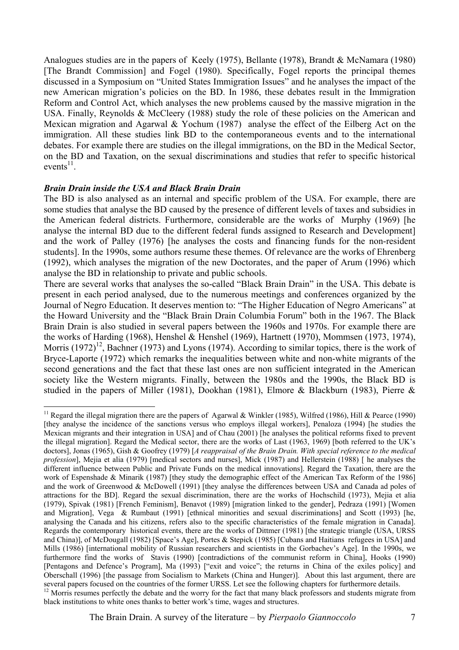Analogues studies are in the papers of Keely (1975), Bellante (1978), Brandt & McNamara (1980) [The Brandt Commission] and Fogel (1980). Specifically, Fogel reports the principal themes discussed in a Symposium on "United States Immigration Issues" and he analyses the impact of the new American migration's policies on the BD. In 1986, these debates result in the Immigration Reform and Control Act, which analyses the new problems caused by the massive migration in the USA. Finally, Reynolds & McCleery (1988) study the role of these policies on the American and Mexican migration and Agarwal & Yochum (1987) analyse the effect of the Eilberg Act on the immigration. All these studies link BD to the contemporaneous events and to the international debates. For example there are studies on the illegal immigrations, on the BD in the Medical Sector, on the BD and Taxation, on the sexual discriminations and studies that refer to specific historical  $events<sup>11</sup>$ 

### *Brain Drain inside the USA and Black Brain Drain*

 $\overline{a}$ 

The BD is also analysed as an internal and specific problem of the USA. For example, there are some studies that analyse the BD caused by the presence of different levels of taxes and subsidies in the American federal districts. Furthermore, considerable are the works of Murphy (1969) [he analyse the internal BD due to the different federal funds assigned to Research and Development] and the work of Palley (1976) [he analyses the costs and financing funds for the non-resident students]. In the 1990s, some authors resume these themes. Of relevance are the works of Ehrenberg (1992), which analyses the migration of the new Doctorates, and the paper of Arum (1996) which analyse the BD in relationship to private and public schools.

There are several works that analyses the so-called "Black Brain Drain" in the USA. This debate is present in each period analysed, due to the numerous meetings and conferences organized by the Journal of Negro Education. It deserves mention to: "The Higher Education of Negro Americans" at the Howard University and the "Black Brain Drain Columbia Forum" both in the 1967. The Black Brain Drain is also studied in several papers between the 1960s and 1970s. For example there are the works of Harding (1968), Henshel & Henshel (1969), Hartnett (1970), Mommsen (1973, 1974), Morris  $(1972)^{12}$ , Bachner (1973) and Lyons (1974). According to similar topics, there is the work of Bryce-Laporte (1972) which remarks the inequalities between white and non-white migrants of the second generations and the fact that these last ones are non sufficient integrated in the American society like the Western migrants. Finally, between the 1980s and the 1990s, the Black BD is studied in the papers of Miller (1981), Dookhan (1981), Elmore & Blackburn (1983), Pierre &

<sup>&</sup>lt;sup>11</sup> Regard the illegal migration there are the papers of Agarwal & Winkler (1985), Wilfred (1986), Hill & Pearce (1990) [they analyse the incidence of the sanctions versus who employs illegal workers], Penaloza (1994) [he studies the Mexican migrants and their integration in USA] and of Chau (2001) [he analyses the political reforms fixed to prevent the illegal migration]. Regard the Medical sector, there are the works of Last (1963, 1969) [both referred to the UK's doctors], Jonas (1965), Gish & Goofrey (1979) [*A reappraisal of the Brain Drain. With special reference to the medical profession*], Mejia et alia (1979) [medical sectors and nurses], Mick (1987) and Hellerstein (1988) [ he analyses the different influence between Public and Private Funds on the medical innovations]. Regard the Taxation, there are the work of Espenshade & Minarik (1987) [they study the demographic effect of the American Tax Reform of the 1986] and the work of Greenwood & McDowell (1991) [they analyse the differences between USA and Canada ad poles of attractions for the BD]. Regard the sexual discrimination, there are the works of Hochschild (1973), Mejia et alia (1979), Spivak (1981) [French Feminism], Benavot (1989) [migration linked to the gender], Pedraza (1991) [Women and Migration], Vega & Rumbaut (1991) [ethnical minorities and sexual discriminations] and Scott (1993) [he, analysing the Canada and his citizens, refers also to the specific characteristics of the female migration in Canada]. Regards the contemporary historical events, there are the works of Dittmer (1981) [the strategic triangle (USA, URSS and China)], of McDougall (1982) [Space's Age], Portes & Stepick (1985) [Cubans and Haitians refugees in USA] and Mills (1986) [international mobility of Russian researchers and scientists in the Gorbachev's Age]. In the 1990s, we furthermore find the works of Stavis (1990) [contradictions of the communist reform in China], Hooks (1990) [Pentagons and Defence's Program], Ma (1993) ["exit and voice"; the returns in China of the exiles policy] and Oberschall (1996) [the passage from Socialism to Markets (China and Hunger)]. About this last argument, there are several papers focused on the countries of the former URSS. Let see the following chapters for furthermore details.<br><sup>12</sup> Morris resumes perfectly the debate and the worry for the fact that many black professors and student black institutions to white ones thanks to better work's time, wages and structures.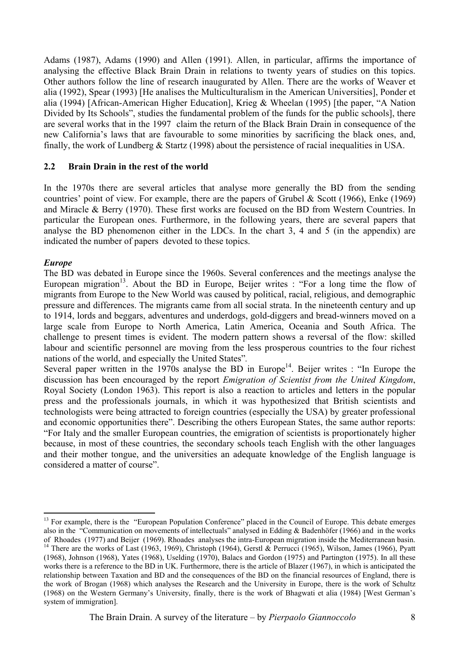Adams (1987), Adams (1990) and Allen (1991). Allen, in particular, affirms the importance of analysing the effective Black Brain Drain in relations to twenty years of studies on this topics. Other authors follow the line of research inaugurated by Allen. There are the works of Weaver et alia (1992), Spear (1993) [He analises the Multiculturalism in the American Universities], Ponder et alia (1994) [African-American Higher Education], Krieg & Wheelan (1995) [the paper, "A Nation Divided by Its Schools", studies the fundamental problem of the funds for the public schools], there are several works that in the 1997 claim the return of the Black Brain Drain in consequence of the new California's laws that are favourable to some minorities by sacrificing the black ones, and, finally, the work of Lundberg & Startz (1998) about the persistence of racial inequalities in USA.

## **2.2 Brain Drain in the rest of the world**

In the 1970s there are several articles that analyse more generally the BD from the sending countries' point of view. For example, there are the papers of Grubel & Scott (1966), Enke (1969) and Miracle & Berry (1970). These first works are focused on the BD from Western Countries. In particular the European ones. Furthermore, in the following years, there are several papers that analyse the BD phenomenon either in the LDCs. In the chart 3, 4 and 5 (in the appendix) are indicated the number of papers devoted to these topics.

## *Europe*

The BD was debated in Europe since the 1960s. Several conferences and the meetings analyse the European migration<sup>13</sup>. About the BD in Europe, Beijer writes : "For a long time the flow of migrants from Europe to the New World was caused by political, racial, religious, and demographic pressure and differences. The migrants came from all social strata. In the nineteenth century and up to 1914, lords and beggars, adventures and underdogs, gold-diggers and bread-winners moved on a large scale from Europe to North America, Latin America, Oceania and South Africa. The challenge to present times is evident. The modern pattern shows a reversal of the flow: skilled labour and scientific personnel are moving from the less prosperous countries to the four richest nations of the world, and especially the United States"*.*

Several paper written in the 1970s analyse the BD in Europe<sup>14</sup>. Beijer writes : "In Europe the discussion has been encouraged by the report *Emigration of Scientist from the United Kingdom*, Royal Society (London 1963). This report is also a reaction to articles and letters in the popular press and the professionals journals, in which it was hypothesized that British scientists and technologists were being attracted to foreign countries (especially the USA) by greater professional and economic opportunities there". Describing the others European States, the same author reports: "For Italy and the smaller European countries, the emigration of scientists is proportionately higher because, in most of these countries, the secondary schools teach English with the other languages and their mother tongue, and the universities an adequate knowledge of the English language is considered a matter of course".

 $\overline{a}$ <sup>13</sup> For example, there is the "European Population Conference" placed in the Council of Europe. This debate emerges also in the "Communication on movements of intellectuals" analysed in Edding & Badenhöfer (1966) and in the works

of Rhoades (1977) and Beijer (1969). Rhoades analyses the intra-European migration inside the Mediterranean basin.<br><sup>14</sup> There are the works of Last (1963, 1969), Christoph (1964), Gerstl & Perrucci (1965), Wilson, James (1 (1968), Johnson (1968), Yates (1968), Uselding (1970), Balacs and Gordon (1975) and Partington (1975). In all these works there is a reference to the BD in UK. Furthermore, there is the article of Blazer (1967), in which is anticipated the relationship between Taxation and BD and the consequences of the BD on the financial resources of England, there is the work of Brogan (1968) which analyses the Research and the University in Europe, there is the work of Schultz (1968) on the Western Germany's University, finally, there is the work of Bhagwati et alia (1984) [West German's system of immigration].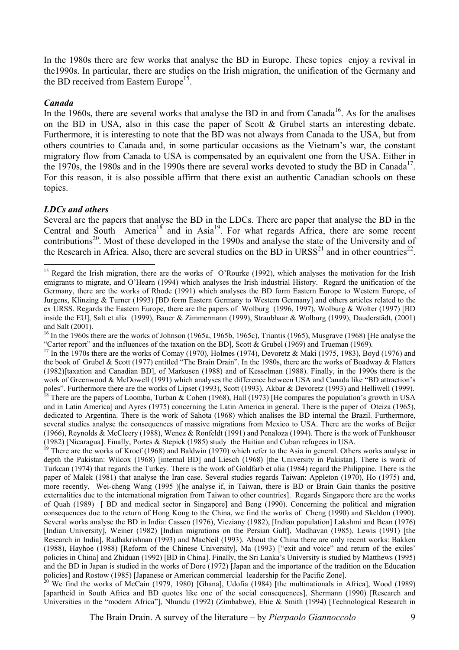In the 1980s there are few works that analyse the BD in Europe. These topics enjoy a revival in the1990s. In particular, there are studies on the Irish migration, the unification of the Germany and the BD received from Eastern Europe<sup>15</sup>.

### *Canada*

In the 1960s, there are several works that analyse the BD in and from Canada<sup>16</sup>. As for the analises on the BD in USA, also in this case the paper of Scott & Grubel starts an interesting debate. Furthermore, it is interesting to note that the BD was not always from Canada to the USA, but from others countries to Canada and, in some particular occasions as the Vietnam's war, the constant migratory flow from Canada to USA is compensated by an equivalent one from the USA. Either in the 1970s, the 1980s and in the 1990s there are several works devoted to study the BD in Canada<sup>17</sup>. For this reason, it is also possible affirm that there exist an authentic Canadian schools on these topics.

## *LDCs and others*

 $\overline{a}$ 

Several are the papers that analyse the BD in the LDCs. There are paper that analyse the BD in the Central and South America18 and in Asia19. For what regards Africa, there are some recent contributions<sup>20</sup>. Most of these developed in the 1990s and analyse the state of the University and of the Research in Africa. Also, there are several studies on the  $\overline{BD}$  in URSS<sup>21</sup> and in other countries<sup>22</sup>.

<sup>&</sup>lt;sup>15</sup> Regard the Irish migration, there are the works of O'Rourke (1992), which analyses the motivation for the Irish emigrants to migrate, and O'Hearn (1994) which analyses the Irish industrial History. Regard the unification of the Germany, there are the works of Rhode (1991) which analyses the BD form Eastern Europe to Western Europe, of Jurgens, Klinzing & Turner (1993) [BD form Eastern Germany to Western Germany] and others articles related to the ex URSS. Regards the Eastern Europe, there are the papers of Wolburg (1996, 1997), Wolburg & Wolter (1997) [BD inside the EU], Salt et alia (1999), Bauer & Zimmermann (1999), Straubhaar & Wolburg (1999), Dauderstädt, (2001) and Salt (2001).

<sup>&</sup>lt;sup>16</sup> In the 1960s there are the works of Johnson (1965a, 1965b, 1965c), Triantis (1965), Musgrave (1968) [He analyse the "Carter report" and the influences of the taxation on the BD], Scott & Grubel (1969) and Trueman (1969).<br><sup>17</sup> In the 1970s there are the works of Comay (1970), Holmes (1974), Devoretz & Maki (1975, 1983), Boyd (1976) and

the book of Grubel & Scott (1977) entitled "The Brain Drain". In the 1980s, there are the works of Boadway & Flatters (1982)[taxation and Canadian BD], of Markusen (1988) and of Kesselman (1988). Finally, in the 1990s there is the work of Greenwood & McDowell (1991) which analyses the difference between USA and Canada like "BD attraction's poles". Furthermore there are the works of Lipset (1993), Scott (1993), Akbar & Devoretz (1993) and Helliwell (1999).<br><sup>18</sup> There are the papers of Loomba, Turban & Cohen (1968), Hall (1973) [He compares the population's gr and in Latin America] and Ayres (1975) concerning the Latin America in general. There is the paper of Oteiza (1965), dedicated to Argentina. There is the work of Sahota (1968) which analises the BD internal the Brazil. Furthermore, several studies analyse the consequences of massive migrations from Mexico to USA. There are the works of Beijer (1966), Reynolds & McCleery (1988), Wenez & Ronfeldt (1991) and Penaloza (1994). There is the work of Funkhouser

<sup>(1982) [</sup>Nicaragua]. Finally, Portes  $\&$  Stepick (1985) study the Haitian and Cuban refugees in USA. <sup>19</sup> There are the works of Kroef (1968) and Baldwin (1970) which refer to the Asia in general. Others works analyse in depth the Pakistan: Wilcox (1968) [internal BD] and Liesch (1968) [the University in Pakistan]. There is work of Turkcan (1974) that regards the Turkey. There is the work of Goldfarb et alia (1984) regard the Philippine. There is the paper of Malek (1981) that analyse the Iran case. Several studies regards Taiwan: Appleton (1970), Ho (1975) and, more recently. Wei-cheng Wang (1995 ) The analyse if, in Taiwan, there is BD or Brain Gain thanks the positive externalities due to the international migration from Taiwan to other countries]. Regards Singapore there are the works of Quah (1989) [ BD and medical sector in Singapore] and Beng (1990). Concerning the political and migration consequences due to the return of Hong Kong to the China, we find the works of Cheng (1990) and Skeldon (1990). Several works analyse the BD in India: Cassen (1976), Vicziany (1982), [Indian population] Lakshmi and Bean (1976) [Indian University], Weiner (1982) [Indian migrations on the Persian Gulf], Madhavan (1985), Lewis (1991) [the Research in India], Radhakrishnan (1993) and MacNeil (1993). About the China there are only recent works: Bakken (1988), Hayhoe (1988) [Reform of the Chinese University], Ma (1993) ["exit and voice" and return of the exiles' policies in China] and Zhiduan (1992) [BD in China]. Finally, the Sri Lanka's University is studied by Matthews (1995) and the BD in Japan is studied in the works of Dore (1972) [Japan and the importance of the tradition on the Education policies] and Rostow (1985) [Japanese or American commercial leadership for the Pacific Zone].

<sup>&</sup>lt;sup>20</sup> We find the works of McCain (1979, 1980) [Ghana], Udofia (1984) [the multinationals in Africa], Wood (1989) [apartheid in South Africa and BD quotes like one of the social consequences], Shermann (1990) [Research and Universities in the "modern Africa"], Nhundu (1992) (Zimbabwe), Ehie & Smith (1994) [Technological Research in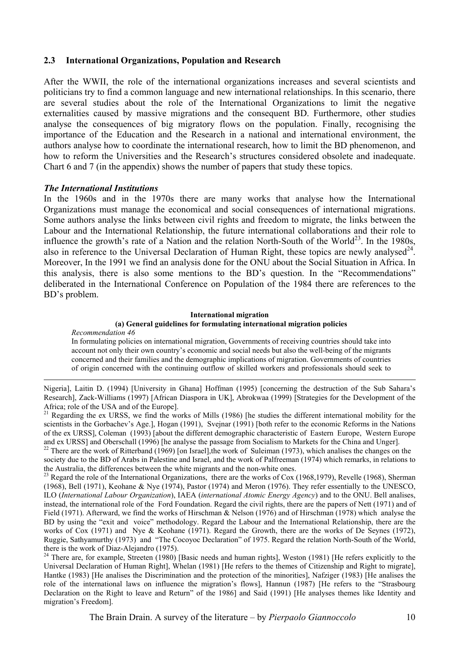### **2.3 International Organizations, Population and Research**

After the WWII, the role of the international organizations increases and several scientists and politicians try to find a common language and new international relationships. In this scenario, there are several studies about the role of the International Organizations to limit the negative externalities caused by massive migrations and the consequent BD. Furthermore, other studies analyse the consequences of big migratory flows on the population. Finally, recognising the importance of the Education and the Research in a national and international environment, the authors analyse how to coordinate the international research, how to limit the BD phenomenon, and how to reform the Universities and the Research's structures considered obsolete and inadequate. Chart 6 and 7 (in the appendix) shows the number of papers that study these topics.

### *The International Institutions*

In the 1960s and in the 1970s there are many works that analyse how the International Organizations must manage the economical and social consequences of international migrations. Some authors analyse the links between civil rights and freedom to migrate, the links between the Labour and the International Relationship, the future international collaborations and their role to influence the growth's rate of a Nation and the relation North-South of the World<sup>23</sup>. In the 1980s, also in reference to the Universal Declaration of Human Right, these topics are newly analysed<sup>24</sup>. Moreover, In the 1991 we find an analysis done for the ONU about the Social Situation in Africa. In this analysis, there is also some mentions to the BD's question. In the "Recommendations" deliberated in the International Conference on Population of the 1984 there are references to the BD's problem.

#### **International migration**

#### **(a) General guidelines for formulating international migration policies** *Recommendation 46*

In formulating policies on international migration, Governments of receiving countries should take into account not only their own country's economic and social needs but also the well-being of the migrants concerned and their families and the demographic implications of migration. Governments of countries of origin concerned with the continuing outflow of skilled workers and professionals should seek to

 Nigeria], Laitin D. (1994) [University in Ghana] Hoffman (1995) [concerning the destruction of the Sub Sahara's Research], Zack-Williams (1997) [African Diaspora in UK], Abrokwaa (1999) [Strategies for the Development of the Africa; role of the USA and of the Europe].

21 Regarding the ex URSS, we find the works of Mills (1986) [he studies the different international mobility for the scientists in the Gorbachev's Age.], Hogan (1991), Svejnar (1991) [both refer to the economic Reforms in the Nations of the ex URSS], Coleman (1993) [about the different demographic characteristic of Eastern Europe, Western Europe and ex URSS] and Oberschall (1996) [he analyse the passage from Socialism to Markets for the China and Unger].

<sup>22</sup> There are the work of Ritterband (1969) [on Israel], the work of Suleiman (1973), which analises the changes on the society due to the BD of Arabs in Palestine and Israel, and the work of Palfreeman (1974) which remarks, in relations to the Australia, the differences between the white migrants and the non-white ones.

 $^{23}$  Regard the role of the International Organizations, there are the works of Cox (1968,1979), Revelle (1968), Sherman (1968), Bell (1971), Keohane & Nye (1974), Pastor (1974) and Meron (1976). They refer essentially to the UNESCO, ILO (*International Labour Organization*), IAEA (*international Atomic Energy Agency*) and to the ONU. Bell analises, instead, the international role of the Ford Foundation. Regard the civil rights, there are the papers of Nett (1971) and of Field (1971). Afterward, we find the works of Hirschman & Nelson (1976) and of Hirschman (1978) which analyse the BD by using the "exit and voice" methodology. Regard the Labour and the International Relationship, there are the works of Cox (1971) and Nye & Keohane (1971). Regard the Growth, there are the works of De Seynes (1972), Ruggie, Sathyamurthy (1973) and "The Cocoyoc Declaration" of 1975. Regard the relation North-South of the World, there is the work of Diaz-Alejandro (1975).

<sup>24</sup> There are, for example, Streeten  $(1980)$  [Basic needs and human rights], Weston (1981) [He refers explicitly to the Universal Declaration of Human Right], Whelan (1981) [He refers to the themes of Citizenship and Right to migrate], Hantke (1983) [He analises the Discrimination and the protection of the minorities], Nafziger (1983) [He analises the role of the international laws on influence the migration's flows], Hannun (1987) [He refers to the "Strasbourg Declaration on the Right to leave and Return" of the 1986] and Said (1991) [He analyses themes like Identity and migration's Freedom].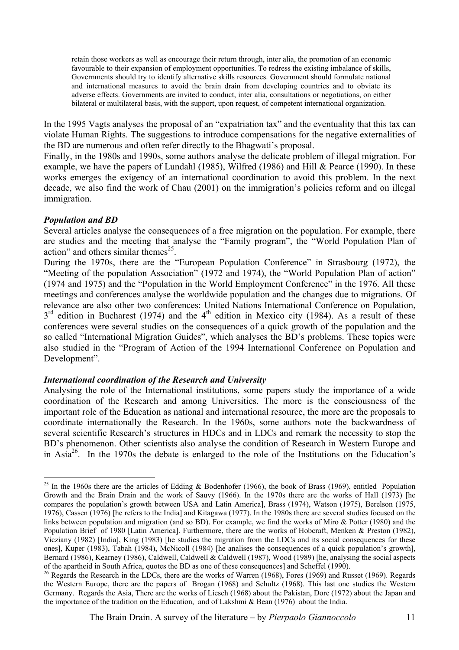retain those workers as well as encourage their return through, inter alia, the promotion of an economic favourable to their expansion of employment opportunities. To redress the existing imbalance of skills, Governments should try to identify alternative skills resources. Government should formulate national and international measures to avoid the brain drain from developing countries and to obviate its adverse effects. Governments are invited to conduct, inter alia, consultations or negotiations, on either bilateral or multilateral basis, with the support, upon request, of competent international organization.

In the 1995 Vagts analyses the proposal of an "expatriation tax" and the eventuality that this tax can violate Human Rights. The suggestions to introduce compensations for the negative externalities of the BD are numerous and often refer directly to the Bhagwati's proposal.

Finally, in the 1980s and 1990s, some authors analyse the delicate problem of illegal migration. For example, we have the papers of Lundahl (1985), Wilfred (1986) and Hill & Pearce (1990). In these works emerges the exigency of an international coordination to avoid this problem. In the next decade, we also find the work of Chau (2001) on the immigration's policies reform and on illegal immigration.

## *Population and BD*

Several articles analyse the consequences of a free migration on the population. For example, there are studies and the meeting that analyse the "Family program", the "World Population Plan of action" and others similar themes<sup>25</sup>.

During the 1970s, there are the "European Population Conference" in Strasbourg (1972), the "Meeting of the population Association" (1972 and 1974), the "World Population Plan of action" (1974 and 1975) and the "Population in the World Employment Conference" in the 1976. All these meetings and conferences analyse the worldwide population and the changes due to migrations. Of relevance are also other two conferences: United Nations International Conference on Population,  $3<sup>rd</sup>$  edition in Bucharest (1974) and the 4<sup>th</sup> edition in Mexico city (1984). As a result of these conferences were several studies on the consequences of a quick growth of the population and the so called "International Migration Guides", which analyses the BD's problems. These topics were also studied in the "Program of Action of the 1994 International Conference on Population and Development".

## *International coordination of the Research and University*

Analysing the role of the International institutions, some papers study the importance of a wide coordination of the Research and among Universities. The more is the consciousness of the important role of the Education as national and international resource, the more are the proposals to coordinate internationally the Research. In the 1960s, some authors note the backwardness of several scientific Research's structures in HDCs and in LDCs and remark the necessity to stop the BD's phenomenon. Other scientists also analyse the condition of Research in Western Europe and in Asia<sup>26</sup>. In the 1970s the debate is enlarged to the role of the Institutions on the Education's

 $\overline{a}$ <sup>25</sup> In the 1960s there are the articles of Edding & Bodenhofer (1966), the book of Brass (1969), entitled Population Growth and the Brain Drain and the work of Sauvy (1966). In the 1970s there are the works of Hall (1973) [he compares the population's growth between USA and Latin America], Brass (1974), Watson (1975), Berelson (1975, 1976), Cassen (1976) [he refers to the India] and Kitagawa (1977). In the 1980s there are several studies focused on the links between population and migration (and so BD). For example, we find the works of Miro & Potter (1980) and the Population Brief of 1980 [Latin America]. Furthermore, there are the works of Hobcraft, Menken & Preston (1982), Vicziany (1982) [India], King (1983) [he studies the migration from the LDCs and its social consequences for these ones], Kuper (1983), Tabah (1984), McNicoll (1984) [he analises the consequences of a quick population's growth], Bernard (1986), Kearney (1986), Caldwell, Caldwell & Caldwell (1987), Wood (1989) [he, analysing the social aspects of the apartheid in South Africa, quotes the BD as one of these consequences] and Scheffel (1990).

<sup>&</sup>lt;sup>26</sup> Regards the Research in the LDCs, there are the works of Warren (1968), Fores (1969) and Russet (1969). Regards the Western Europe, there are the papers of Brogan (1968) and Schultz (1968). This last one studies the Western Germany. Regards the Asia, There are the works of Liesch (1968) about the Pakistan, Dore (1972) about the Japan and the importance of the tradition on the Education, and of Lakshmi & Bean (1976) about the India.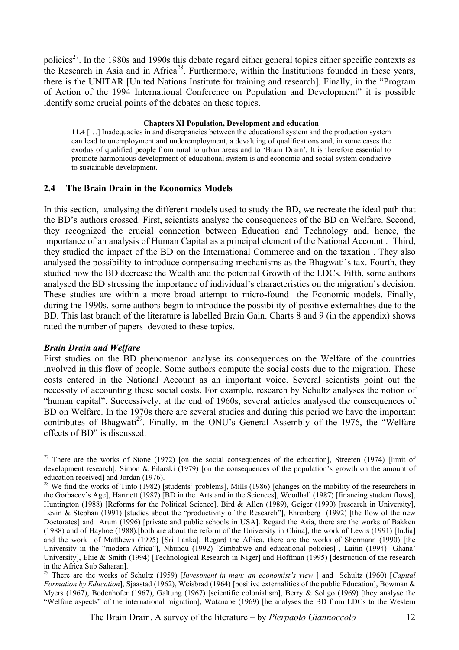policies<sup>27</sup>. In the 1980s and 1990s this debate regard either general topics either specific contexts as the Research in Asia and in Africa<sup>28</sup>. Furthermore, within the Institutions founded in these years, there is the UNITAR [United Nations Institute for training and research]. Finally, in the "Program of Action of the 1994 International Conference on Population and Development" it is possible identify some crucial points of the debates on these topics.

#### **Chapters XI Population, Development and education**

**11.4** […] Inadequacies in and discrepancies between the educational system and the production system can lead to unemployment and underemployment, a devaluing of qualifications and, in some cases the exodus of qualified people from rural to urban areas and to 'Brain Drain'. It is therefore essential to promote harmonious development of educational system is and economic and social system conducive to sustainable development.

## **2.4 The Brain Drain in the Economics Models**

In this section, analysing the different models used to study the BD, we recreate the ideal path that the BD's authors crossed. First, scientists analyse the consequences of the BD on Welfare. Second, they recognized the crucial connection between Education and Technology and, hence, the importance of an analysis of Human Capital as a principal element of the National Account . Third, they studied the impact of the BD on the International Commerce and on the taxation . They also analysed the possibility to introduce compensating mechanisms as the Bhagwati's tax. Fourth, they studied how the BD decrease the Wealth and the potential Growth of the LDCs. Fifth, some authors analysed the BD stressing the importance of individual's characteristics on the migration's decision. These studies are within a more broad attempt to micro-found the Economic models. Finally, during the 1990s, some authors begin to introduce the possibility of positive externalities due to the BD. This last branch of the literature is labelled Brain Gain. Charts 8 and 9 (in the appendix) shows rated the number of papers devoted to these topics.

### *Brain Drain and Welfare*

 $\overline{a}$ 

First studies on the BD phenomenon analyse its consequences on the Welfare of the countries involved in this flow of people. Some authors compute the social costs due to the migration. These costs entered in the National Account as an important voice. Several scientists point out the necessity of accounting these social costs. For example, research by Schultz analyses the notion of "human capital". Successively, at the end of 1960s, several articles analysed the consequences of BD on Welfare. In the 1970s there are several studies and during this period we have the important contributes of Bhagwati<sup>29</sup>. Finally, in the ONU's General Assembly of the 1976, the "Welfare" effects of BD" is discussed.

<sup>&</sup>lt;sup>27</sup> There are the works of Stone (1972) [on the social consequences of the education], Streeten (1974) [limit of development research], Simon & Pilarski (1979) [on the consequences of the population's growth on the amount of education received] and Jordan (1976).

<sup>&</sup>lt;sup>28</sup> We find the works of Tinto (1982) [students' problems], Mills (1986) [changes on the mobility of the researchers in the Gorbacev's Age], Hartnett (1987) [BD in the Arts and in the Sciences], Woodhall (1987) [financing student flows], Huntington (1988) [Reforms for the Political Science], Bird & Allen (1989), Geiger (1990) [research in University], Levin & Stephan (1991) [studies about the "productivity of the Research"], Ehrenberg (1992) [the flow of the new Doctorates] and Arum (1996) [private and public schools in USA]. Regard the Asia, there are the works of Bakken (1988) and of Hayhoe (1988).[both are about the reform of the University in China], the work of Lewis (1991) [India] and the work of Matthews (1995) [Sri Lanka]. Regard the Africa, there are the works of Shermann (1990) [the University in the "modern Africa"], Nhundu (1992) [Zimbabwe and educational policies] , Laitin (1994) [Ghana' University], Ehie & Smith (1994) [Technological Research in Niger] and Hoffman (1995) [destruction of the research in the Africa Sub Saharan].

<sup>29</sup> There are the works of Schultz (1959) [*Investment in man: an economist's view* ] and Schultz (1960) [*Capital Formation by Education*], Sjaastad (1962), Weisbrad (1964) [positive externalities of the public Education], Bowman & Myers (1967), Bodenhofer (1967), Galtung (1967) [scientific colonialism], Berry & Soligo (1969) [they analyse the "Welfare aspects" of the international migration], Watanabe (1969) [he analyses the BD from LDCs to the Western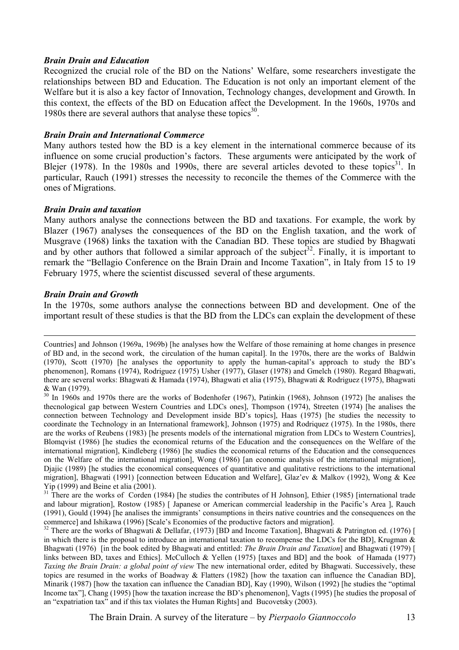### *Brain Drain and Education*

Recognized the crucial role of the BD on the Nations' Welfare, some researchers investigate the relationships between BD and Education. The Education is not only an important element of the Welfare but it is also a key factor of Innovation, Technology changes, development and Growth. In this context, the effects of the BD on Education affect the Development. In the 1960s, 1970s and 1980s there are several authors that analyse these topics $30$ .

### *Brain Drain and International Commerce*

Many authors tested how the BD is a key element in the international commerce because of its influence on some crucial production's factors. These arguments were anticipated by the work of Blejer (1978). In the 1980s and 1990s, there are several articles devoted to these topics<sup>31</sup>. In particular, Rauch (1991) stresses the necessity to reconcile the themes of the Commerce with the ones of Migrations.

### *Brain Drain and taxation*

Many authors analyse the connections between the BD and taxations. For example, the work by Blazer (1967) analyses the consequences of the BD on the English taxation, and the work of Musgrave (1968) links the taxation with the Canadian BD. These topics are studied by Bhagwati and by other authors that followed a similar approach of the subject<sup>32</sup>. Finally, it is important to remark the "Bellagio Conference on the Brain Drain and Income Taxation", in Italy from 15 to 19 February 1975, where the scientist discussed several of these arguments.

## *Brain Drain and Growth*

In the 1970s, some authors analyse the connections between BD and development. One of the important result of these studies is that the BD from the LDCs can explain the development of these

 $31$  There are the works of Corden (1984) [he studies the contributes of H Johnson], Ethier (1985) [international trade and labour migration], Rostow (1985) [ Japanese or American commercial leadership in the Pacific's Area ], Rauch (1991), Gould (1994) [he analises the immigrants' consumptions in theirs native countries and the consequences on the commerce] and Ishikawa (1996) [Scale's Economies of the productive factors and migration].

<sup>32</sup> There are the works of Bhagwati & Dellafar, (1973) [BD and Income Taxation], Bhagwati & Patrington ed. (1976) [ in which there is the proposal to introduce an international taxation to recompense the LDCs for the BDL Krugman  $\&$ Bhagwati (1976) [in the book edited by Bhagwati and entitled: *The Brain Drain and Taxation*] and Bhagwati (1979) [ links between BD, taxes and Ethics]. McCulloch & Yellen (1975) [taxes and BD] and the book of Hamada (1977) *Taxing the Brain Drain: a global point of view* The new international order, edited by Bhagwati. Successively, these topics are resumed in the works of Boadway & Flatters (1982) [how the taxation can influence the Canadian BD], Minarik (1987) [how the taxation can influence the Canadian BD], Kay (1990), Wilson (1992) [he studies the "optimal Income tax"], Chang (1995) [how the taxation increase the BD's phenomenon], Vagts (1995) [he studies the proposal of an "expatriation tax" and if this tax violates the Human Rights] and Bucovetsky (2003).

Countries] and Johnson (1969a, 1969b) [he analyses how the Welfare of those remaining at home changes in presence of BD and, in the second work, the circulation of the human capital]. In the 1970s, there are the works of Baldwin (1970), Scott (1970) [he analyses the opportunity to apply the human-capital's approach to study the BD's phenomenon], Romans (1974), Rodriguez (1975) Usher (1977), Glaser (1978) and Gmelch (1980). Regard Bhagwati, there are several works: Bhagwati & Hamada (1974), Bhagwati et alia (1975), Bhagwati & Rodriguez (1975), Bhagwati & Wan (1979).

 $30$  In 1960s and 1970s there are the works of Bodenhofer (1967), Patinkin (1968), Johnson (1972) [he analises the thecnological gap between Western Countries and LDCs ones], Thompson (1974), Streeten (1974) [he analises the connection between Technology and Development inside BD's topics], Haas (1975) [he studies the necessity to coordinate the Technology in an International framework], Johnson (1975) and Rodriquez (1975). In the 1980s, there are the works of Reubens (1983) [he presents models of the international migration from LDCs to Western Countries], Blomqvist (1986) [he studies the economical returns of the Education and the consequences on the Welfare of the international migration], Kindleberg (1986) [he studies the economical returns of the Education and the consequences on the Welfare of the international migration], Wong (1986) [an economic analysis of the international migration], Djajic (1989) [he studies the economical consequences of quantitative and qualitative restrictions to the international migration], Bhagwati (1991) [connection between Education and Welfare], Glaz'ev & Malkov (1992), Wong & Kee Yip (1999) and Beine et alia (2001).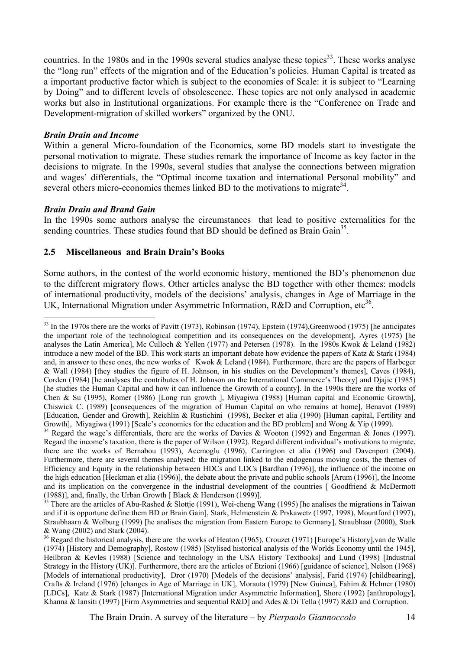countries. In the 1980s and in the 1990s several studies analyse these topics<sup>33</sup>. These works analyse the "long run" effects of the migration and of the Education's policies. Human Capital is treated as a important productive factor which is subject to the economies of Scale: it is subject to "Learning by Doing" and to different levels of obsolescence. These topics are not only analysed in academic works but also in Institutional organizations. For example there is the "Conference on Trade and Development-migration of skilled workers" organized by the ONU.

## *Brain Drain and Income*

Within a general Micro-foundation of the Economics, some BD models start to investigate the personal motivation to migrate. These studies remark the importance of Income as key factor in the decisions to migrate. In the 1990s, several studies that analyse the connections between migration and wages' differentials, the "Optimal income taxation and international Personal mobility" and several others micro-economics themes linked BD to the motivations to migrate<sup>34</sup>.

## *Brain Drain and Brand Gain*

 $\overline{a}$ 

In the 1990s some authors analyse the circumstances that lead to positive externalities for the sending countries. These studies found that BD should be defined as Brain Gain<sup>35</sup>.

## **2.5 Miscellaneous and Brain Drain's Books**

Some authors, in the contest of the world economic history, mentioned the BD's phenomenon due to the different migratory flows. Other articles analyse the BD together with other themes: models of international productivity, models of the decisions' analysis, changes in Age of Marriage in the UK, International Migration under Asymmetric Information,  $R&D$  and Corruption, etc<sup>36</sup>.

<sup>34</sup> Regard the wage's differentials, there are the works of Davies & Wooton (1992) and Engerman & Jones (1997). Regard the income's taxation, there is the paper of Wilson (1992). Regard different individual's motivations to migrate, there are the works of Bernabou (1993), Acemoglu (1996), Carrington et alia (1996) and Davenport (2004). Furthermore, there are several themes analysed: the migration linked to the endogenous moving costs, the themes of Efficiency and Equity in the relationship between HDCs and LDCs [Bardhan (1996)], the influence of the income on the high education [Heckman et alia (1996)], the debate about the private and public schools [Arum (1996)], the Income and its implication on the convergence in the industrial development of the countries [ Goodfriend & McDermott (1988)], and, finally, the Urban Growth [ Black & Henderson (1999)].

<sup>35</sup> There are the articles of Abu-Rashed & Slottje (1991), Wei-cheng Wang (1995) [he analises the migrations in Taiwan and if it is opportune define them BD or Brain Gain], Stark, Helmenstein & Prskawetz (1997, 1998), Mountford (1997), Straubhaarn & Wolburg (1999) [he analises the migration from Eastern Europe to Germany], Straubhaar (2000), Stark & Wang (2002) and Stark (2004).

 $33$  In the 1970s there are the works of Pavitt (1973), Robinson (1974), Epstein (1974), Greenwood (1975) [he anticipates the important role of the technological competition and its consequences on the development], Ayres (1975) [he analyses the Latin America], Mc Culloch & Yellen (1977) and Petersen (1978). In the 1980s Kwok & Leland (1982) introduce a new model of the BD. This work starts an important debate how evidence the papers of Katz & Stark (1984) and, in answer to these ones, the new works of Kwok & Leland (1984). Furthermore, there are the papers of Harbeger & Wall (1984) [they studies the figure of H. Johnson, in his studies on the Development's themes], Caves (1984), Corden (1984) [he analyses the contributes of H. Johnson on the International Commerce's Theory] and Djajic (1985) [he studies the Human Capital and how it can influence the Growth of a county]. In the 1990s there are the works of Chen & Su (1995), Romer (1986) [Long run growth ], Miyagiwa (1988) [Human capital and Economic Growth], Chiswick C. (1989) [consequences of the migration of Human Capital on who remains at home], Benavot (1989) [Education, Gender and Growth], Reichlin & Rustichini (1998), Becker et alia (1990) [Human capital, Fertility and Growth], Miyagiwa (1991) [Scale's economies for the education and the BD problem] and Wong & Yip (1999).

<sup>&</sup>lt;sup>36</sup> Regard the historical analysis, there are the works of Heaton (1965), Crouzet (1971) [Europe's History], van de Walle (1974) [History and Demography], Rostow (1985) [Stylised historical analysis of the Worlds Economy until the 1945], Heilbron & Kevles (1988) [Science and technology in the USA History Textbooks] and Lund (1998) [Industrial Strategy in the History (UK)]. Furthermore, there are the articles of Etzioni (1966) [guidance of science], Nelson (1968) [Models of international productivity], Dror (1970) [Models of the decisions' analysis], Farid (1974) [childbearing], Crafts & Ireland (1976) [changes in Age of Marriage in UK], Morauta (1979) [New Guinea], Fahim & Helmer (1980) [LDCs], Katz & Stark (1987) [International Migration under Asymmetric Information], Shore (1992) [anthropology], Khanna & Iansiti (1997) [Firm Asymmetries and sequential R&D] and Ades & Di Tella (1997) R&D and Corruption.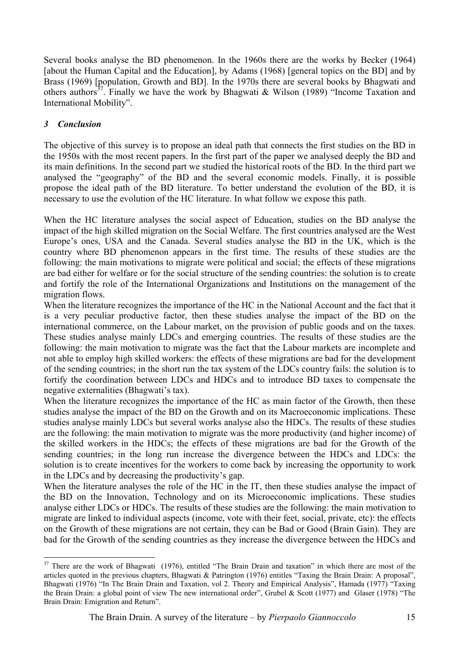Several books analyse the BD phenomenon. In the 1960s there are the works by Becker (1964) [about the Human Capital and the Education], by Adams (1968) [general topics on the BD] and by Brass (1969) [population, Growth and BD]. In the 1970s there are several books by Bhagwati and others authors<sup>37</sup>. Finally we have the work by Bhagwati & Wilson (1989) "Income Taxation and International Mobility".

## *3 Conclusion*

 $\overline{a}$ 

The objective of this survey is to propose an ideal path that connects the first studies on the BD in the 1950s with the most recent papers. In the first part of the paper we analysed deeply the BD and its main definitions. In the second part we studied the historical roots of the BD. In the third part we analysed the "geography" of the BD and the several economic models. Finally, it is possible propose the ideal path of the BD literature. To better understand the evolution of the BD, it is necessary to use the evolution of the HC literature. In what follow we expose this path.

When the HC literature analyses the social aspect of Education, studies on the BD analyse the impact of the high skilled migration on the Social Welfare. The first countries analysed are the West Europe's ones, USA and the Canada. Several studies analyse the BD in the UK, which is the country where BD phenomenon appears in the first time. The results of these studies are the following: the main motivations to migrate were political and social; the effects of these migrations are bad either for welfare or for the social structure of the sending countries: the solution is to create and fortify the role of the International Organizations and Institutions on the management of the migration flows.

When the literature recognizes the importance of the HC in the National Account and the fact that it is a very peculiar productive factor, then these studies analyse the impact of the BD on the international commerce, on the Labour market, on the provision of public goods and on the taxes. These studies analyse mainly LDCs and emerging countries. The results of these studies are the following: the main motivation to migrate was the fact that the Labour markets are incomplete and not able to employ high skilled workers: the effects of these migrations are bad for the development of the sending countries; in the short run the tax system of the LDCs country fails: the solution is to fortify the coordination between LDCs and HDCs and to introduce BD taxes to compensate the negative externalities (Bhagwati's tax).

When the literature recognizes the importance of the HC as main factor of the Growth, then these studies analyse the impact of the BD on the Growth and on its Macroeconomic implications. These studies analyse mainly LDCs but several works analyse also the HDCs. The results of these studies are the following: the main motivation to migrate was the more productivity (and higher income) of the skilled workers in the HDCs; the effects of these migrations are bad for the Growth of the sending countries; in the long run increase the divergence between the HDCs and LDCs: the solution is to create incentives for the workers to come back by increasing the opportunity to work in the LDCs and by decreasing the productivity's gap.

When the literature analyses the role of the HC in the IT, then these studies analyse the impact of the BD on the Innovation, Technology and on its Microeconomic implications. These studies analyse either LDCs or HDCs. The results of these studies are the following: the main motivation to migrate are linked to individual aspects (income, vote with their feet, social, private, etc): the effects on the Growth of these migrations are not certain, they can be Bad or Good (Brain Gain). They are bad for the Growth of the sending countries as they increase the divergence between the HDCs and

 $37$  There are the work of Bhagwati (1976), entitled "The Brain Drain and taxation" in which there are most of the articles quoted in the previous chapters, Bhagwati & Patrington (1976) entitles "Taxing the Brain Drain: A proposal", Bhagwati (1976) "In The Brain Drain and Taxation, vol 2. Theory and Empirical Analysis", Hamada (1977) "Taxing the Brain Drain: a global point of view The new international order", Grubel & Scott (1977) and Glaser (1978) "The Brain Drain: Emigration and Return".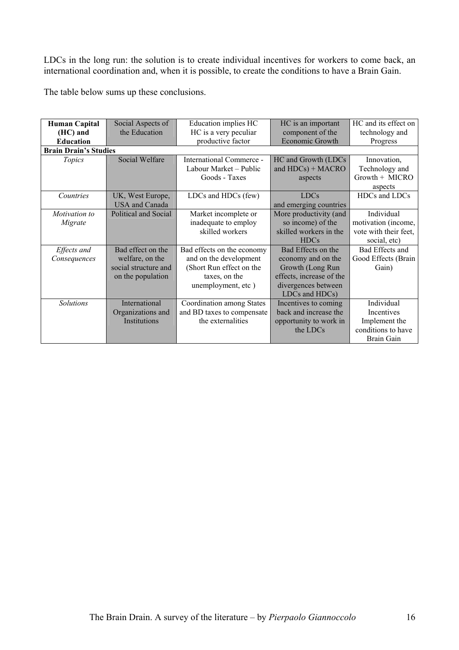LDCs in the long run: the solution is to create individual incentives for workers to come back, an international coordination and, when it is possible, to create the conditions to have a Brain Gain.

The table below sums up these conclusions.

| <b>Human Capital</b>         | Social Aspects of     | Education implies HC       | HC is an important       | HC and its effect on  |
|------------------------------|-----------------------|----------------------------|--------------------------|-----------------------|
| (HC) and                     | the Education         | HC is a very peculiar      | component of the         | technology and        |
| <b>Education</b>             |                       | productive factor          | Economic Growth          | Progress              |
| <b>Brain Drain's Studies</b> |                       |                            |                          |                       |
| Topics                       | Social Welfare        | International Commerce -   | HC and Growth (LDCs)     | Innovation,           |
|                              |                       | Labour Market – Public     | and $HDCs$ ) + MACRO     | Technology and        |
|                              |                       | Goods - Taxes              | aspects                  | Growth + MICRO        |
|                              |                       |                            |                          | aspects               |
| Countries                    | UK, West Europe,      | LDCs and HDCs (few)        | <b>LDCs</b>              | HDCs and LDCs         |
|                              | <b>USA</b> and Canada |                            | and emerging countries   |                       |
| Motivation to                | Political and Social  | Market incomplete or       | More productivity (and   | Individual            |
| Migrate                      |                       | inadequate to employ       | so income) of the        | motivation (income,   |
|                              |                       | skilled workers            | skilled workers in the   | vote with their feet, |
|                              |                       |                            | <b>HDCs</b>              | social, etc)          |
| Effects and                  | Bad effect on the     | Bad effects on the economy | Bad Effects on the       | Bad Effects and       |
| Consequences                 | welfare, on the       | and on the development     | economy and on the       | Good Effects (Brain   |
|                              | social structure and  | (Short Run effect on the   | Growth (Long Run         | Gain)                 |
|                              | on the population     | taxes, on the              | effects, increase of the |                       |
|                              |                       | unemployment, etc)         | divergences between      |                       |
|                              |                       |                            | LDCs and HDCs)           |                       |
| <b>Solutions</b>             | International         | Coordination among States  | Incentives to coming     | Individual            |
|                              | Organizations and     | and BD taxes to compensate | back and increase the    | Incentives            |
|                              | Institutions          | the externalities          | opportunity to work in   | Implement the         |
|                              |                       |                            | the LDCs                 | conditions to have    |
|                              |                       |                            |                          | Brain Gain            |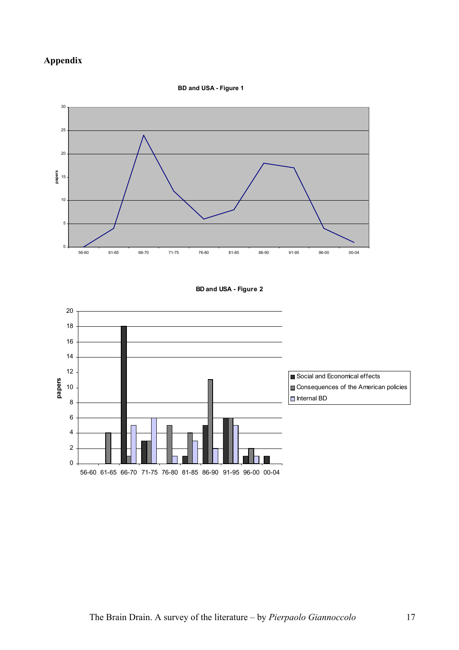# **Appendix**



#### **BD and USA - Figure 1**

#### **BD and USA - Figure 2**

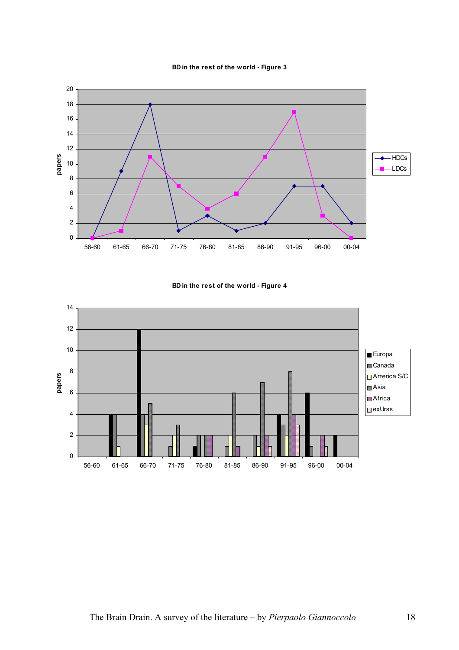#### **BD in the rest of the world - Figure 3**



#### **BD in the rest of the world - Figure 4**



The Brain Drain. A survey of the literature – by *Pierpaolo Giannoccolo* 18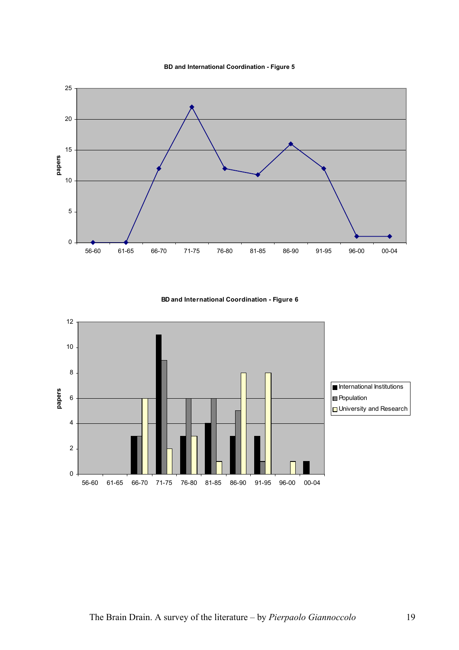



**BD and International Coordination - Figure 6**

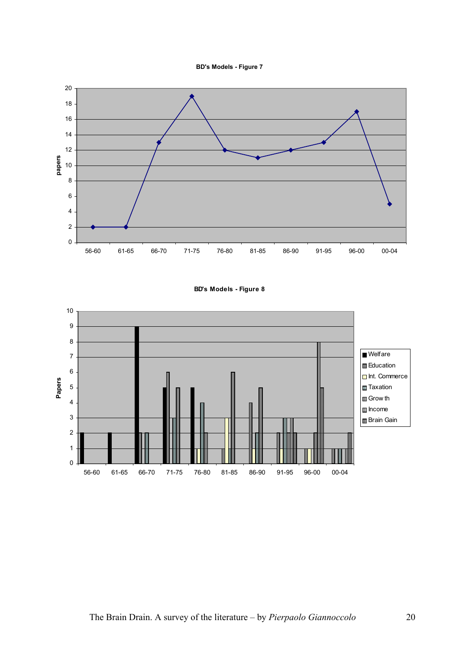**BD's Models - Figure 7**



**BD's Models - Figure 8**

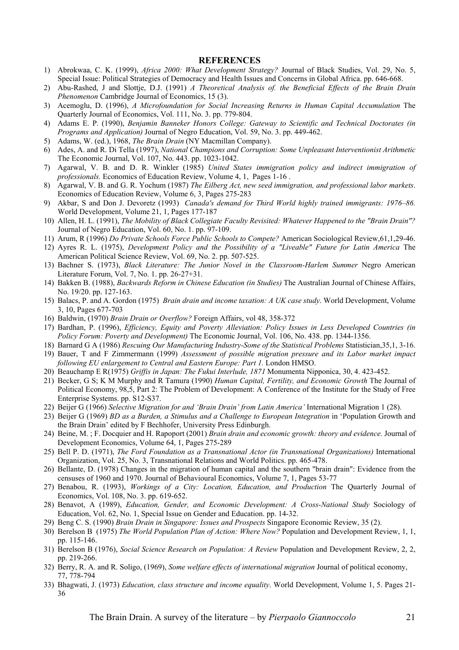#### **REFERENCES**

- 1) Abrokwaa, C. K. (1999), *Africa 2000: What Development Strategy?* Journal of Black Studies, Vol. 29, No. 5, Special Issue: Political Strategies of Democracy and Health Issues and Concerns in Global Africa. pp. 646-668.
- 2) Abu-Rashed, J and Slottje, D.J. (1991) *A Theoretical Analysis of. the Beneficial Effects of the Brain Drain Phenomenon* Cambridge Journal of Economics, 15 (3).
- 3) Acemoglu, D. (1996), *A Microfoundation for Social Increasing Returns in Human Capital Accumulation* The Quarterly Journal of Economics, Vol. 111, No. 3. pp. 779-804.
- 4) Adams E. P. (1990), *Benjamin Banneker Honors College: Gateway to Scientific and Technical Doctorates (in Programs and Application)* Journal of Negro Education, Vol. 59, No. 3. pp. 449-462.
- 5) Adams, W. (ed.), 1968, *The Brain Drain* (NY Macmillan Company).
- 6) Ades, A. and R. Di Tella (1997), *National Champions and Corruption: Some Unpleasant Interventionist Arithmetic* The Economic Journal, Vol. 107, No. 443. pp. 1023-1042.
- 7) Agarwal, V. B. and D. R. Winkler (1985) *United States immigration policy and indirect immigration of professionals.* Economics of Education Review, Volume 4, 1, Pages 1-16 .
- 8) Agarwal, V. B. and G. R. Yochum (1987) *The Eilberg Act, new seed immigration, and professional labor markets*. Economics of Education Review, Volume 6, 3, Pages 275-283
- 9) Akbar, S and Don J. Devoretz (1993) *Canada's demand for Third World highly trained immigrants: 1976–86.* World Development, Volume 21, 1, Pages 177-187
- 10) Allen, H. L. (1991), *The Mobility of Black Collegiate Faculty Revisited: Whatever Happened to the "Brain Drain"?* Journal of Negro Education, Vol. 60, No. 1. pp. 97-109.
- 11) Arum, R (1996) *Do Private Schools Force Public Schools to Compete?* American Sociological Review,61,1,29-46.
- 12) Ayres R. L. (1975), *Development Policy and the Possibility of a "Liveable" Future for Latin America* The American Political Science Review, Vol. 69, No. 2. pp. 507-525.
- 13) Bachner S. (1973), *Black Literature: The Junior Novel in the Classroom-Harlem Summer* Negro American Literature Forum, Vol. 7, No. 1. pp. 26-27+31.
- 14) Bakken B. (1988), *Backwards Reform in Chinese Education (in Studies)* The Australian Journal of Chinese Affairs, No. 19/20. pp. 127-163.
- 15) Balacs, P. and A. Gordon (1975) *Brain drain and income taxation: A UK case study*. World Development, Volume 3, 10, Pages 677-703
- 16) Baldwin, (1970) *Brain Drain or Overflow?* Foreign Affairs, vol 48, 358-372
- 17) Bardhan, P. (1996), *Efficiency, Equity and Poverty Alleviation: Policy Issues in Less Developed Countries (in Policy Forum: Poverty and Development)* The Economic Journal, Vol. 106, No. 438. pp. 1344-1356.
- 18) Barnard G A (1986) *Rescuing Our Manufacturing Industry-Some of the Statistical Problems* Statistician,35,1, 3-16.
- 19) Bauer, T and F Zimmermann (1999) *Assessment of possible migration pressure and its Labor market impact following EU enlargement to Central and Eastern Europe: Part 1.* London HMSO.
- 20) Beauchamp E R(1975) *Griffis in Japan: The Fukui Interlude, 1871* Monumenta Nipponica, 30, 4. 423-452.
- 21) Becker, G S; K M Murphy and R Tamura (1990) *Human Capital, Fertility, and Economic Growth* The Journal of Political Economy, 98,5, Part 2: The Problem of Development: A Conference of the Institute for the Study of Free Enterprise Systems. pp. S12-S37.
- 22) Beijer G (1966) *Selective Migration for and 'Brain Drain' from Latin America'* International Migration 1 (28).
- 23) Beijer G (1969) *BD as a Burden, a Stimulus and a Challenge to European Integration* in 'Population Growth and the Brain Drain' edited by F Bechhofer, University Press Edinburgh.
- 24) Beine, M. ; F. Docquier and H. Rapoport (2001) *Brain drain and economic growth: theory and evidence.* Journal of Development Economics, Volume 64, 1, Pages 275-289
- 25) Bell P. D. (1971), *The Ford Foundation as a Transnational Actor (in Transnational Organizations)* International Organization, Vol. 25, No. 3, Transnational Relations and World Politics. pp. 465-478.
- 26) Bellante, D. (1978) Changes in the migration of human capital and the southern "brain drain": Evidence from the censuses of 1960 and 1970. Journal of Behavioural Economics, Volume 7, 1, Pages 53-77
- 27) Benabou, R. (1993), *Workings of a City: Location, Education, and Production* The Quarterly Journal of Economics, Vol. 108, No. 3. pp. 619-652.
- 28) Benavot, A (1989), *Education, Gender, and Economic Development: A Cross-National Study* Sociology of Education, Vol. 62, No. 1, Special Issue on Gender and Education. pp. 14-32.
- 29) Beng C. S. (1990) *Brain Drain in Singapore: Issues and Prospects* Singapore Economic Review, 35 (2).
- 30) Berelson B (1975) *The World Population Plan of Action: Where Now?* Population and Development Review, 1, 1, pp. 115-146.
- 31) Berelson B (1976), *Social Science Research on Population: A Review* Population and Development Review, 2, 2, pp. 219-266.
- 32) Berry, R. A. and R. Soligo, (1969), *Some welfare effects of international migration* Journal of political economy, 77, 778-794
- 33) Bhagwati, J. (1973) *Education, class structure and income equality*. World Development, Volume 1, 5. Pages 21- 36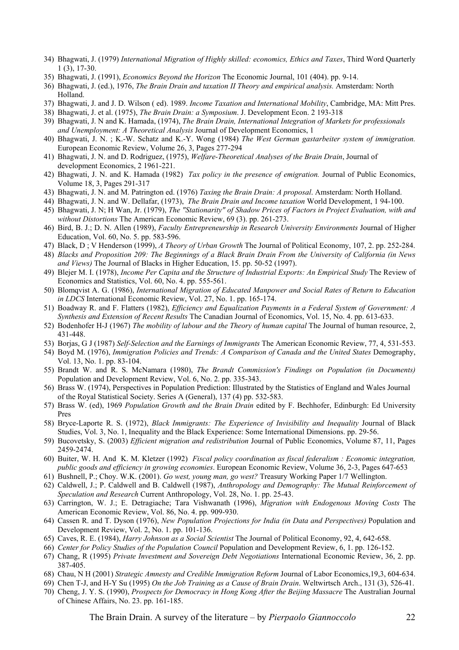- 34) Bhagwati, J. (1979) *International Migration of Highly skilled: economics, Ethics and Taxes*, Third Word Quarterly 1 (3), 17-30.
- 35) Bhagwati, J. (1991), *Economics Beyond the Horizon* The Economic Journal, 101 (404). pp. 9-14.
- 36) Bhagwati, J. (ed.), 1976, *The Brain Drain and taxation II Theory and empirical analysis.* Amsterdam: North Holland.
- 37) Bhagwati, J. and J. D. Wilson ( ed). 1989. *Income Taxation and International Mobility*, Cambridge, MA: Mitt Pres.
- 38) Bhagwati, J. et al. (1975), *The Brain Drain: a Symposium*. J. Development Econ. 2 193-318
- 39) Bhagwati, J. N and K. Hamada, (1974), *The Brain Drain, International Integration of Markets for professionals and Unemployment: A Theoretical Analysis* Journal of Development Economics, 1
- 40) Bhagwati, J. N. ; K.-W. Schatz and K.-Y. Wong (1984) *The West German gastarbeiter system of immigration.*  European Economic Review, Volume 26, 3, Pages 277-294
- 41) Bhagwati, J. N. and D. Rodriguez, (1975), *Welfare-Theoretical Analyses of the Brain Drain*, Journal of development Economics, 2 1961-221.
- 42) Bhagwati, J. N. and K. Hamada (1982) *Tax policy in the presence of emigration.* Journal of Public Economics, Volume 18, 3, Pages 291-317
- 43) Bhagwati, J. N. and M. Patrington ed. (1976) *Taxing the Brain Drain: A proposal*. Amsterdam: North Holland.
- 44) Bhagwati, J. N. and W. Dellafar, (1973), *The Brain Drain and Income taxation* World Development, 1 94-100.
- 45) Bhagwati, J. N; H Wan, Jr. (1979), *The "Stationarity" of Shadow Prices of Factors in Project Evaluation, with and without Distortions* The American Economic Review, 69 (3). pp. 261-273.
- 46) Bird, B. J.; D. N. Allen (1989), *Faculty Entrepreneurship in Research University Environments* Journal of Higher Education, Vol. 60, No. 5. pp. 583-596.
- 47) Black, D ; V Henderson (1999), *A Theory of Urban Growth* The Journal of Political Economy, 107, 2. pp. 252-284.
- 48) *Blacks and Proposition 209: The Beginnings of a Black Brain Drain From the University of California (in News and Views)* The Journal of Blacks in Higher Education, 15. pp. 50-52 (1997).
- 49) Blejer M. I. (1978), *Income Per Capita and the Structure of Industrial Exports: An Empirical Study* The Review of Economics and Statistics, Vol. 60, No. 4. pp. 555-561.
- 50) Blomqvist A. G. (1986), *International Migration of Educated Manpower and Social Rates of Return to Education in LDCS* International Economic Review, Vol. 27, No. 1. pp. 165-174.
- 51) Boadway R. and F. Flatters (1982), *Efficiency and Equalization Payments in a Federal System of Government: A Synthesis and Extension of Recent Results* The Canadian Journal of Economics, Vol. 15, No. 4. pp. 613-633.
- 52) Bodenhofer H-J (1967) *The mobility of labour and the Theory of human capital* The Journal of human resource, 2, 431-448.
- 53) Borjas, G J (1987) *Self-Selection and the Earnings of Immigrants* The American Economic Review, 77, 4, 531-553.
- 54) Boyd M. (1976), *Immigration Policies and Trends: A Comparison of Canada and the United States* Demography, Vol. 13, No. 1. pp. 83-104.
- 55) Brandt W. and R. S. McNamara (1980), *The Brandt Commission's Findings on Population (in Documents)* Population and Development Review, Vol. 6, No. 2. pp. 335-343.
- 56) Brass W. (1974), Perspectives in Population Prediction: Illustrated by the Statistics of England and Wales Journal of the Royal Statistical Society. Series A (General), 137 (4) pp. 532-583.
- 57) Brass W. (ed), 1969 *Population Growth and the Brain Drain* edited by F. Bechhofer, Edinburgh: Ed University Pres
- 58) Bryce-Laporte R. S. (1972), *Black Immigrants: The Experience of Invisibility and Inequality* Journal of Black Studies, Vol. 3, No. 1, Inequality and the Black Experience: Some International Dimensions. pp. 29-56.
- 59) Bucovetsky, S. (2003) *Efficient migration and redistribution* Journal of Public Economics, Volume 87, 11, Pages 2459-2474.
- 60) Buiter, W. H. And K. M. Kletzer (1992) *Fiscal policy coordination as fiscal federalism : Economic integration, public goods and efficiency in growing economies*. European Economic Review, Volume 36, 2-3, Pages 647-653
- 61) Bushnell, P.; Choy. W.K. (2001). *Go west, young man, go west?* Treasury Working Paper 1/7 Wellington.
- 62) Caldwell, J.; P. Caldwell and B. Caldwell (1987), *Anthropology and Demography: The Mutual Reinforcement of Speculation and Research* Current Anthropology, Vol. 28, No. 1. pp. 25-43.
- 63) Carrington, W. J.; E. Detragiache; Tara Vishwanath (1996), *Migration with Endogenous Moving Costs* The American Economic Review, Vol. 86, No. 4. pp. 909-930.
- 64) Cassen R. and T. Dyson (1976), *New Population Projections for India (in Data and Perspectives)* Population and Development Review, Vol. 2, No. 1. pp. 101-136.
- 65) Caves, R. E. (1984), *Harry Johnson as a Social Scientist* The Journal of Political Economy, 92, 4, 642-658.
- 66) *Center for Policy Studies of the Population Council* Population and Development Review, 6, 1. pp. 126-152.
- 67) Chang, R (1995) *Private Investment and Sovereign Debt Negotiations* International Economic Review, 36, 2. pp. 387-405.
- 68) Chau, N H (2001) *Strategic Amnesty and Credible Immigration Reform* Journal of Labor Economics,19,3, 604-634.
- 69) Chen T-J, and H-Y Su (1995) *On the Job Training as a Cause of Brain Drain*. Weltwirtsch Arch., 131 (3), 526-41.
- 70) Cheng, J. Y. S. (1990), *Prospects for Democracy in Hong Kong After the Beijing Massacre* The Australian Journal of Chinese Affairs, No. 23. pp. 161-185.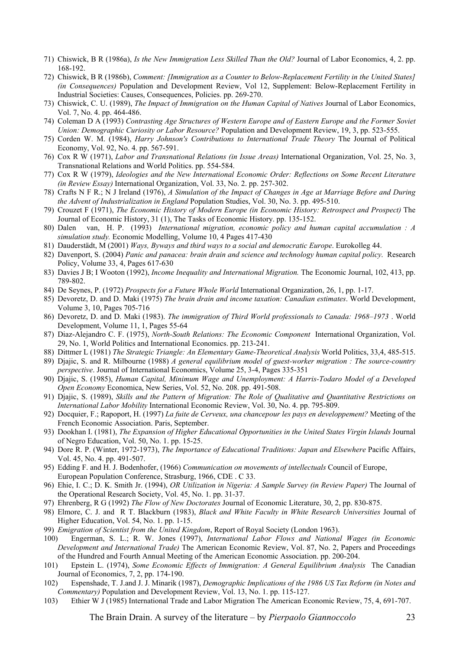- 71) Chiswick, B R (1986a), *Is the New Immigration Less Skilled Than the Old?* Journal of Labor Economics, 4, 2. pp. 168-192.
- 72) Chiswick, B R (1986b), *Comment: [Immigration as a Counter to Below-Replacement Fertility in the United States] (in Consequences)* Population and Development Review, Vol 12, Supplement: Below-Replacement Fertility in Industrial Societies: Causes, Consequences, Policies. pp. 269-270.
- 73) Chiswick, C. U. (1989), *The Impact of Immigration on the Human Capital of Natives* Journal of Labor Economics, Vol. 7, No. 4. pp. 464-486.
- 74) Coleman D A (1993) *Contrasting Age Structures of Western Europe and of Eastern Europe and the Former Soviet Union: Demographic Curiosity or Labor Resource?* Population and Development Review, 19, 3, pp. 523-555.
- 75) Corden W. M. (1984), *Harry Johnson's Contributions to International Trade Theory* The Journal of Political Economy, Vol. 92, No. 4. pp. 567-591.
- 76) Cox R W (1971), *Labor and Transnational Relations (in Issue Areas)* International Organization, Vol. 25, No. 3, Transnational Relations and World Politics. pp. 554-584.
- 77) Cox R W (1979), *Ideologies and the New International Economic Order: Reflections on Some Recent Literature (in Review Essay)* International Organization, Vol. 33, No. 2. pp. 257-302.
- 78) Crafts N F R.; N J Ireland (1976), *A Simulation of the Impact of Changes in Age at Marriage Before and During the Advent of Industrialization in England* Population Studies, Vol. 30, No. 3. pp. 495-510.
- 79) Crouzet F (1971), *The Economic History of Modern Europe (in Economic History: Retrospect and Prospect)* The Journal of Economic History, 31 (1), The Tasks of Economic History. pp. 135-152.
- 80) Dalen van, H. P. (1993) *International migration, economic policy and human capital accumulation : A simulation study.* Economic Modelling, Volume 10, 4 Pages 417-430
- 81) Dauderstädt, M (2001) *Ways, Byways and third ways to a social and democratic Europe*. Eurokolleg 44.
- 82) Davenport, S. (2004) *Panic and panacea: brain drain and science and technology human capital policy*. Research Policy, Volume 33, 4, Pages 617-630
- 83) Davies J B; I Wooton (1992), *Income Inequality and International Migration.* The Economic Journal, 102, 413, pp. 789-802.
- 84) De Seynes, P. (1972) *Prospects for a Future Whole World* International Organization, 26, 1, pp. 1-17.
- 85) Devoretz, D. and D. Maki (1975) *The brain drain and income taxation: Canadian estimates*. World Development, Volume 3, 10, Pages 705-716
- 86) Devoretz, D. and D. Maki (1983). *The immigration of Third World professionals to Canada: 1968–1973* . World Development, Volume 11, 1, Pages 55-64
- 87) Diaz-Alejandro C. F. (1975), *North-South Relations: The Economic Component* International Organization, Vol. 29, No. 1, World Politics and International Economics. pp. 213-241.
- 88) Dittmer L (1981) *The Strategic Triangle: An Elementary Game-Theoretical Analysis* World Politics, 33,4, 485-515.
- 89) Djajic, S. and R. Milbourne (1988) *A general equilibrium model of guest-worker migration : The source-country perspective*. Journal of International Economics, Volume 25, 3-4, Pages 335-351
- 90) Djajic, S. (1985), *Human Capital, Minimum Wage and Unemployment: A Harris-Todaro Model of a Developed Open Economy* Economica, New Series, Vol. 52, No. 208. pp. 491-508.
- 91) Djajic, S. (1989), *Skills and the Pattern of Migration: The Role of Qualitative and Quantitative Restrictions on International Labor Mobility* International Economic Review, Vol. 30, No. 4. pp. 795-809.
- 92) Docquier, F.; Rapoport, H. (1997) *La fuite de Cerveux, una chancepour les pays en developpement?* Meeting of the French Economic Association. Paris, September.
- 93) Dookhan I. (1981), *The Expansion of Higher Educational Opportunities in the United States Virgin Islands* Journal of Negro Education, Vol. 50, No. 1. pp. 15-25.
- 94) Dore R. P. (Winter, 1972-1973), *The Importance of Educational Traditions: Japan and Elsewhere* Pacific Affairs, Vol. 45, No. 4. pp. 491-507.
- 95) Edding F. and H. J. Bodenhofer, (1966) *Communication on movements of intellectuals* Council of Europe, European Population Conference, Strasburg, 1966, CDE . C 33.
- 96) Ehie, I. C.; D. K. Smith Jr. (1994), *OR Utilization in Nigeria: A Sample Survey (in Review Paper)* The Journal of the Operational Research Society, Vol. 45, No. 1. pp. 31-37.
- 97) Ehrenberg, R G (1992) *The Flow of New Doctorates* Journal of Economic Literature, 30, 2, pp. 830-875.
- 98) Elmore, C. J. and R T. Blackburn (1983), *Black and White Faculty in White Research Universities* Journal of Higher Education, Vol. 54, No. 1. pp. 1-15.
- 99) *Emigration of Scientist from the United Kingdom*, Report of Royal Society (London 1963).
- 100) Engerman, S. L.; R. W. Jones (1997), *International Labor Flows and National Wages (in Economic Development and International Trade)* The American Economic Review, Vol. 87, No. 2, Papers and Proceedings of the Hundred and Fourth Annual Meeting of the American Economic Association. pp. 200-204.
- 101) Epstein L. (1974), *Some Economic Effects of Immigration: A General Equilibrium Analysis* The Canadian Journal of Economics, 7, 2, pp. 174-190.
- 102) Espenshade, T. J.and J. J. Minarik (1987), *Demographic Implications of the 1986 US Tax Reform (in Notes and Commentary)* Population and Development Review, Vol. 13, No. 1. pp. 115-127.
- 103) Ethier W J (1985) International Trade and Labor Migration The American Economic Review, 75, 4, 691-707.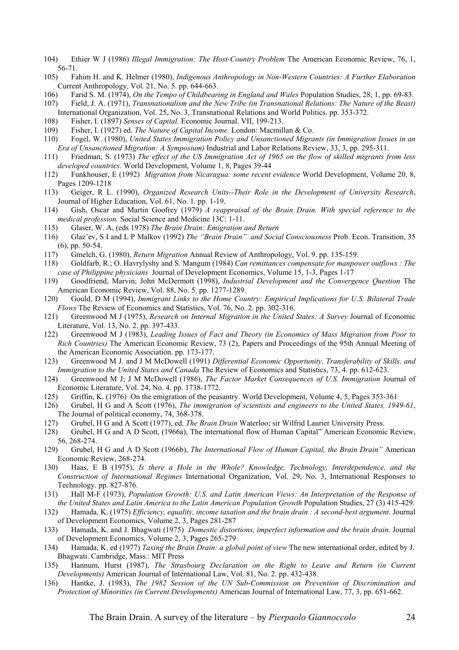- 104) Ethier W J (1986) *Illegal Immigration: The Host-Country Problem* The American Economic Review, 76, 1, 56-71.
- 105) Fahim H. and K. Helmer (1980), *Indigenous Anthropology in Non-Western Countries: A Further Elaboration* Current Anthropology, Vol. 21, No. 5. pp. 644-663.
- 106) Farid S. M. (1974), *On the Tempo of Childbearing in England and Wales* Population Studies, 28, 1, pp. 69-83.
- 107) Field, J. A. (1971), *Transnationalism and the New Tribe (in Transnational Relations: The Nature of the Beast)* International Organization, Vol. 25, No. 3, Transnational Relations and World Politics. pp. 353-372.
- 108) Fisher, I. (1897) *Senses of Capital.* Economic Journal. VII, 199-213.
- 109) Fisher, I. (1927) ed. *The Nature of Capital Income.* London: Macmillan & Co.
- 110) Fogel, W. (1980), *United States Immigration Policy and Unsanctioned Migrants (in Immigration Issues in an Era of Unsanctioned Migration: A Symposium)* Industrial and Labor Relations Review, 33, 3, pp. 295-311.
- 111) Friedman, S. (1973) *The effect of the US Immigration Act of 1965 on the flow of skilled migrants from less developed countries*. World Development, Volume 1, 8, Pages 39-44
- 112) Funkhouser, E (1992) *Migration from Nicaragua: some recent evidence* World Development, Volume 20, 8, Pages 1209-1218
- 113) Geiger, R L. (1990), *Organized Research Units--Their Role in the Development of University Research*, Journal of Higher Education, Vol. 61, No. 1. pp. 1-19.
- 114) Gish, Oscar and Martin Goofrey (1979) *A reappraisal of the Brain Drain. With special reference to the medical profession.* Social Science and Medicine 13C: 1-11.
- 115) Glaser, W. A, (eds 1978) *The Brain Drain: Emigration and Return*
- 116) Glaz'ev, S I and L P Malkov (1992) *The "Brain Drain" and Social Consciousness* Prob. Econ. Transition, 35 (6), pp. 50-54.
- 117) Gmelch, G. (1980), *Return Migration* Annual Review of Anthropology, Vol. 9. pp. 135-159.
- 118) Goldfarb, R.; O. Havrylyshy and S. Mangum (1984) *Can remittances compensate for manpower outflows : The case of Philippine physicians* Journal of Development Economics, Volume 15, 1-3, Pages 1-17
- 119) Goodfriend, Marvin; John McDermott (1998), *Industrial Development and the Convergence Question* The American Economic Review, Vol. 88, No. 5. pp. 1277-1289.
- 120) Gould, D M (1994), *Immigrant Links to the Home Country: Empirical Implications for U.S. Bilateral Trade Flows* The Review of Economics and Statistics, Vol. 76, No. 2. pp. 302-316.
- 121) Greenwood M J (1975), *Research on Internal Migration in the United States: A Survey* Journal of Economic Literature, Vol. 13, No. 2. pp. 397-433.
- 122) Greenwood M J (1983), *Leading Issues of Fact and Theory (in Economics of Mass Migration from Poor to Rich Countries)* The American Economic Review, 73 (2), Papers and Proceedings of the 95th Annual Meeting of the American Economic Association. pp. 173-177.
- 123) Greenwood M J. and J M McDowell (1991) *Differential Economic Opportunity, Transferability of Skills, and Immigration to the United States and Canada* The Review of Economics and Statistics, 73, 4. pp. 612-623.
- 124) Greenwood M J; J M McDowell (1986), *The Factor Market Consequences of U.S. Immigration* Journal of Economic Literature, Vol. 24, No. 4. pp. 1738-1772.
- 125) Griffin, K. (1976) On the emigration of the peasantry. World Development, Volume 4, 5, Pages 353-361
- 126) Grubel, H G and A Scott (1976), *The immigration of scientists and engineers to the United States, 1949-61*, The Journal of political economy, 74, 368-378.
- 127) Grubel, H G and A Scott (1977), ed. *The Brain Drain* Waterloo; sir Wilfrid Laurier University Press.
- 128) Grubel, H G and A D Scott, (1966a), The international flow of Human Capital" American Economic Review, 56, 268-274.
- 129) Grubel, H G and A D Scott (1966b), *The International Flow of Human Capital, the Brain Drain"* American Economic Review, 268-274.
- 130) Haas, E B (1975), *Is there a Hole in the Whole? Knowledge, Technology, Interdependence, and the Construction of International Regimes* International Organization, Vol. 29, No. 3, International Responses to Technology. pp. 827-876.
- 131) Hall M-F (1973), *Population Growth: U.S. and Latin American Views: An Interpretation of the Response of the United States and Latin America to the Latin American Population Growth* Population Studies, 27 (3) 415-429.
- 132) Hamada, K. (1975) *Efficiency, equality, income taxation and the brain drain : A second-best argument*. Journal of Development Economics, Volume 2, 3, Pages 281-287
- 133) Hamada, K. and J. Bhagwati (1975) *Domestic distortions, imperfect information and the brain drain*. Journal of Development Economics, Volume 2, 3, Pages 265-279
- 134) Hamada, K. ed (1977) *Taxing the Brain Drain: a global point of view* The new international order, edited by J. Bhagwati. Cambridge, Mass.: MIT Press
- 135) Hannum, Hurst (1987), *The Strasbourg Declaration on the Right to Leave and Return (in Current Developments)* American Journal of International Law, Vol. 81, No. 2. pp. 432-438.
- 136) Hantke, J. (1983), *The 1982 Session of the UN Sub-Commission on Prevention of Discrimination and Protection of Minorities (in Current Developments)* American Journal of International Law, 77, 3, pp. 651-662.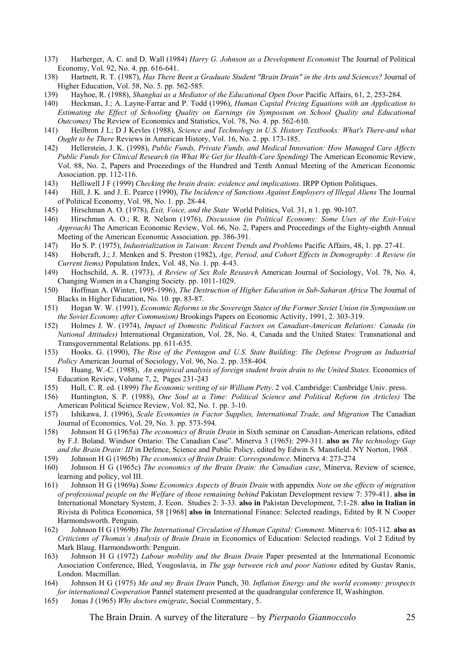- 137) Harberger, A. C. and D. Wall (1984) *Harry G. Johnson as a Development Economist* The Journal of Political Economy, Vol. 92, No. 4. pp. 616-641.
- 138) Hartnett, R. T. (1987), *Has There Been a Graduate Student "Brain Drain" in the Arts and Sciences?* Journal of Higher Education, Vol. 58, No. 5. pp. 562-585.
- 139) Hayhoe, R. (1988), *Shanghai as a Mediator of the Educational Open Door* Pacific Affairs, 61, 2, 253-284.
- 140) Heckman, J.; A. Layne-Farrar and P. Todd (1996), *Human Capital Pricing Equations with an Application to Estimating the Effect of Schooling Quality on Earnings (in Symposium on School Quality and Educational Outcomes)* The Review of Economics and Statistics, Vol. 78, No. 4. pp. 562-610.
- 141) Heilbron J L; D J Kevles (1988), *Science and Technology in U.S. History Textbooks: What's There-and what Ought to be There* Reviews in American History, Vol. 16, No. 2. pp. 173-185.
- 142) Hellerstein, J. K. (1998), *Public Funds, Private Funds, and Medical Innovation: How Managed Care Affects Public Funds for Clinical Research (in What We Get for Health-Care Spending)* The American Economic Review, Vol. 88, No. 2, Papers and Proceedings of the Hundred and Tenth Annual Meeting of the American Economic Association. pp. 112-116.
- 143) Helliwell J F (1999) *Checking the brain drain: evidence and implications.* IRPP Option Politiques.
- 144) Hill, J. K. and J. E. Pearce (1990), *The Incidence of Sanctions Against Employers of Illegal Aliens* The Journal of Political Economy, Vol. 98, No. 1. pp. 28-44.
- 145) Hirschman A. O. (1978), *Exit, Voice, and the State* World Politics, Vol. 31, n 1. pp. 90-107.
- 146) Hirschman A. O.; R. R. Nelson (1976), *Discussion (in Political Economy: Some Uses of the Exit-Voice Approach)* The American Economic Review, Vol. 66, No. 2, Papers and Proceedings of the Eighty-eighth Annual Meeting of the American Economic Association. pp. 386-391.
- 147) Ho S. P. (1975), *Industrialization in Taiwan: Recent Trends and Problems* Pacific Affairs, 48, 1. pp. 27-41.
- 148) Hobcraft, J.; J. Menken and S. Preston (1982), *Age, Period, and Cohort Effects in Demography: A Review (in Current Items)* Population Index, Vol. 48, No. 1. pp. 4-43.
- 149) Hochschild, A. R. (1973), *A Review of Sex Role Research* American Journal of Sociology, Vol. 78, No. 4, Changing Women in a Changing Society. pp. 1011-1029.
- 150) Hoffman A. (Winter, 1995-1996), *The Destruction of Higher Education in Sub-Saharan Africa* The Journal of Blacks in Higher Education, No. 10. pp. 83-87.
- 151) Hogan W. W. (1991), *Economic Reforms in the Sovereign States of the Former Soviet Union (in Symposium on the Soviet Economy after Communism)* Brookings Papers on Economic Activity, 1991, 2. 303-319.
- 152) Holmes J. W. (1974), *Impact of Domestic Political Factors on Canadian-American Relations: Canada (in National Attitudes)* International Organization, Vol. 28, No. 4, Canada and the United States: Transnational and Transgovernmental Relations. pp. 611-635.
- 153) Hooks. G. (1990), *The Rise of the Pentagon and U.S. State Building: The Defense Program as Industrial Policy* American Journal of Sociology, Vol. 96, No. 2. pp. 358-404.
- 154) Huang, W.-C. (1988), *An empirical analysis of foreign student brain drain to the United States*. Economics of Education Review, Volume 7, 2, Pages 231-243
- 155) Hull, C. R. ed. (1899) *The Economic writing of sir William Petty*. 2 vol. Cambridge: Cambridge Univ. press.
- 156) Huntington, S. P. (1988), *One Soul at a Time: Political Science and Political Reform (in Articles)* The American Political Science Review, Vol. 82, No. 1. pp. 3-10.
- 157) Ishikawa, J. (1996), *Scale Economies in Factor Supplies, International Trade, and Migration* The Canadian Journal of Economics, Vol. 29, No. 3. pp. 573-594.
- 158) Johnson H G (1965a) *The economics of Brain Drain* in Sixth seminar on Canadian-American relations, edited by F.J. Boland. Windsor Ontario: The Canadian Case". Minerva 3 (1965): 299-311. **also as** *The technology Gap and the Brain Drain: III* in Defence, Science and Public Policy, edited by Edwin S. Mansfield. NY Norton, 1968 .
- 159) Johnson H G (1965b) *The economics of Brain Drain*: *Correspondence*. Minerva 4: 273-274
- 160) Johnson H G (1965c) *The economics of the Brain Drain: the Canadian case*, Minerva, Review of science, learning and policy, vol III.
- 161) Johnson H G (1969a) *Some Economics Aspects of Brain Drain* with appendix *Note on the effects of migration of professional people on the Welfare of those remaining behind* Pakistan Development review 7: 379-411. **also in** International Monetary System, J. Econ. Studies 2: 3-33. **also in** Pakistan Development, 7:1-28. **also in Italian in** Rivista di Politica Economica, 58 [1968] **also in** International Finance: Selected readings, Edited by R N Cooper Harmondsworth. Penguin.
- 162) Johnson H G (1969b) *The International Circulation of Human Capital: Comment.* Minerva 6: 105-112. **also as** *Criticisms of Thomas's Analysis of Brain Drain* in Economics of Education: Selected readings. Vol 2 Edited by Mark Blaug. Harmondsworth: Penguin.
- 163) Johnson H G (1972) *Labour mobility and the Brain Drain* Paper presented at the International Economic Association Conference, Bled, Yougoslavia, in *The gap between rich and poor Nations* edited by Gustav Ranis, London. Macmillan.
- 164) Johnson H G (1975) *Me and my Brain Drain* Punch, 30. *Inflation Energy and the world economy: prospects for international Cooperation* Pannel statement presented at the quadrangular conference II, Washington.
- 165) Jonas J (1965) *Why doctors emigrate*, Social Commentary, 5.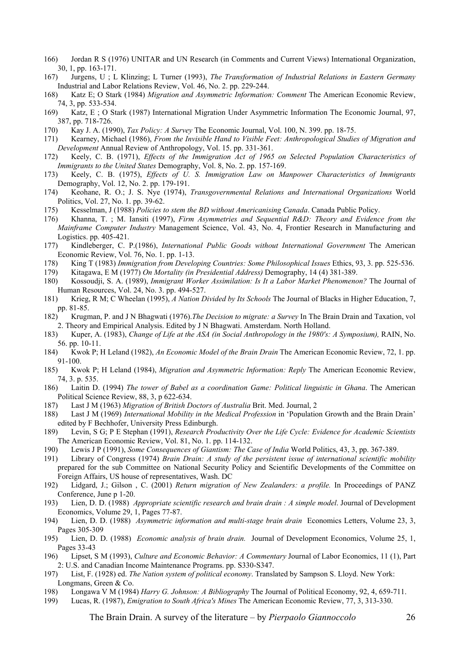- 166) Jordan R S (1976) UNITAR and UN Research (in Comments and Current Views) International Organization, 30, 1, pp. 163-171.
- 167) Jurgens, U ; L Klinzing; L Turner (1993), *The Transformation of Industrial Relations in Eastern Germany* Industrial and Labor Relations Review, Vol. 46, No. 2. pp. 229-244.
- 168) Katz E; O Stark (1984) *Migration and Asymmetric Information: Comment* The American Economic Review, 74, 3, pp. 533-534.
- 169) Katz, E ; O Stark (1987) International Migration Under Asymmetric Information The Economic Journal, 97, 387, pp. 718-726.
- 170) Kay J. A. (1990), *Tax Policy: A Survey* The Economic Journal, Vol. 100, N. 399. pp. 18-75.
- 171) Kearney, Michael (1986), *From the Invisible Hand to Visible Feet: Anthropological Studies of Migration and Development* Annual Review of Anthropology, Vol. 15. pp. 331-361.
- 172) Keely, C. B. (1971), *Effects of the Immigration Act of 1965 on Selected Population Characteristics of Immigrants to the United States* Demography, Vol. 8, No. 2. pp. 157-169.
- 173) Keely, C. B. (1975), *Effects of U. S. Immigration Law on Manpower Characteristics of Immigrants*  Demography, Vol. 12, No. 2. pp. 179-191.
- 174) Keohane, R. O.; J. S. Nye (1974), *Transgovernmental Relations and International Organizations* World Politics, Vol. 27, No. 1. pp. 39-62.
- 175) Kesselman, J (1988) *Policies to stem the BD without Americanising Canada*. Canada Public Policy.
- 176) Khanna, T. ; M. Iansiti (1997), *Firm Asymmetries and Sequential R&D: Theory and Evidence from the Mainframe Computer Industry* Management Science, Vol. 43, No. 4, Frontier Research in Manufacturing and Logistics. pp. 405-421.
- 177) Kindleberger, C. P.(1986), *International Public Goods without International Government* The American Economic Review, Vol. 76, No. 1. pp. 1-13.
- 178) King T (1983) *Immigration from Developing Countries: Some Philosophical Issues* Ethics, 93, 3. pp. 525-536.
- 179) Kitagawa, E M (1977) *On Mortality (in Presidential Address)* Demography, 14 (4) 381-389.
- 180) Kossoudji, S. A. (1989), *Immigrant Worker Assimilation: Is It a Labor Market Phenomenon?* The Journal of Human Resources, Vol. 24, No. 3. pp. 494-527.
- 181) Krieg, R M; C Wheelan (1995), *A Nation Divided by Its Schools* The Journal of Blacks in Higher Education, 7, pp. 81-85.
- 182) Krugman, P. and J N Bhagwati (1976).*The Decision to migrate: a Survey* In The Brain Drain and Taxation, vol 2. Theory and Empirical Analysis. Edited by J N Bhagwati. Amsterdam. North Holland.
- 183) Kuper, A. (1983), *Change of Life at the ASA (in Social Anthropology in the 1980's: A Symposium),* RAIN, No. 56. pp. 10-11.
- 184) Kwok P; H Leland (1982), *An Economic Model of the Brain Drain* The American Economic Review, 72, 1. pp. 91-100.
- 185) Kwok P; H Leland (1984), *Migration and Asymmetric Information: Reply* The American Economic Review, 74, 3. p. 535.
- 186) Laitin D. (1994) *The tower of Babel as a coordination Game: Political linguistic in Ghana*. The American Political Science Review, 88, 3, p 622-634.
- 187) Last J M (1963) *Migration of British Doctors of Australia* Brit. Med. Journal, 2
- 188) Last J M (1969) *International Mobility in the Medical Profession* in 'Population Growth and the Brain Drain' edited by F Bechhofer, University Press Edinburgh.
- 189) Levin, S G; P E Stephan (1991), *Research Productivity Over the Life Cycle: Evidence for Academic Scientists* The American Economic Review, Vol. 81, No. 1. pp. 114-132.
- 190) Lewis J P (1991), *Some Consequences of Giantism: The Case of India* World Politics, 43, 3, pp. 367-389.
- 191) Library of Congress (1974) *Brain Drain: A study of the persistent issue of international scientific mobility* prepared for the sub Committee on National Security Policy and Scientific Developments of the Committee on Foreign Affairs, US house of representatives, Wash. DC
- 192) Lidgard, J.; Gilson , C. (2001) *Return migration of New Zealanders: a profile.* In Proceedings of PANZ Conference, June p 1-20.
- 193) Lien, D. D. (1988) *Appropriate scientific research and brain drain : A simple model*. Journal of Development Economics, Volume 29, 1, Pages 77-87.
- 194) Lien, D. D. (1988) *Asymmetric information and multi-stage brain drain* Economics Letters, Volume 23, 3, Pages 305-309
- 195) Lien, D. D. (1988) *Economic analysis of brain drain.* Journal of Development Economics, Volume 25, 1, Pages 33-43
- 196) Lipset, S M (1993), *Culture and Economic Behavior: A Commentary* Journal of Labor Economics, 11 (1), Part 2: U.S. and Canadian Income Maintenance Programs. pp. S330-S347.
- 197) List, F. (1928) ed. *The Nation system of political economy*. Translated by Sampson S. Lloyd. New York: Longmans, Green & Co.
- 198) Longawa V M (1984) *Harry G. Johnson: A Bibliography* The Journal of Political Economy, 92, 4, 659-711.
- 199) Lucas, R. (1987), *Emigration to South Africa's Mines* The American Economic Review, 77, 3, 313-330.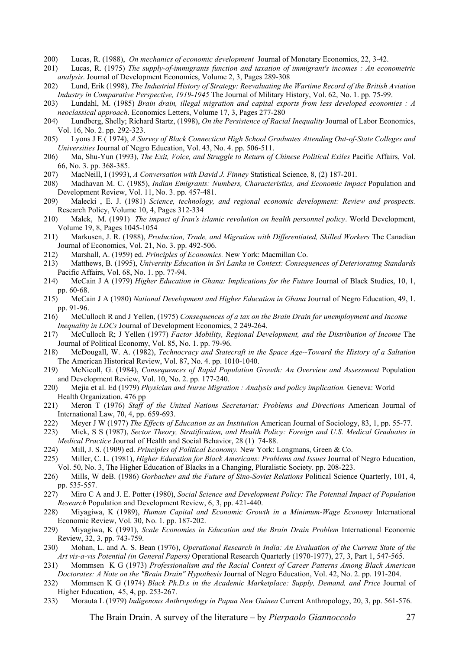- 200) Lucas, R. (1988), *On mechanics of economic development* Journal of Monetary Economics, 22, 3-42.
- 201) Lucas, R. (1975) *The supply-of-immigrants function and taxation of immigrant's incomes : An econometric analysis*. Journal of Development Economics, Volume 2, 3, Pages 289-308
- 202) Lund, Erik (1998), *The Industrial History of Strategy: Reevaluating the Wartime Record of the British Aviation Industry in Comparative Perspective, 1919-1945* The Journal of Military History, Vol. 62, No. 1. pp. 75-99.
- 203) Lundahl, M. (1985) *Brain drain, illegal migration and capital exports from less developed economies : A neoclassical approach*. Economics Letters, Volume 17, 3, Pages 277-280
- 204) Lundberg, Shelly; Richard Startz, (1998), *On the Persistence of Racial Inequality* Journal of Labor Economics, Vol. 16, No. 2. pp. 292-323.
- 205) Lyons J E ( 1974), *A Survey of Black Connecticut High School Graduates Attending Out-of-State Colleges and Universities* Journal of Negro Education, Vol. 43, No. 4. pp. 506-511.
- 206) Ma, Shu-Yun (1993), *The Exit, Voice, and Struggle to Return of Chinese Political Exiles* Pacific Affairs, Vol. 66, No. 3. pp. 368-385.
- 207) MacNeill, I (1993), *A Conversation with David J. Finney* Statistical Science, 8, (2) 187-201.
- 208) Madhavan M. C. (1985), *Indian Emigrants: Numbers, Characteristics, and Economic Impact* Population and Development Review, Vol. 11, No. 3. pp. 457-481.
- 209) Malecki , E. J. (1981) *Science, technology, and regional economic development: Review and prospects.*  Research Policy, Volume 10, 4, Pages 312-334
- 210) Malek, M. (1991) *The impact of Iran's islamic revolution on health personnel policy*. World Development, Volume 19, 8, Pages 1045-1054
- 211) Markusen, J. R. (1988), *Production, Trade, and Migration with Differentiated, Skilled Workers* The Canadian Journal of Economics, Vol. 21, No. 3. pp. 492-506.
- 212) Marshall, A. (1959) ed. *Principles of Economics.* New York: Macmillan Co.
- 213) Matthews, B. (1995), *University Education in Sri Lanka in Context: Consequences of Deteriorating Standards* Pacific Affairs, Vol. 68, No. 1. pp. 77-94.
- 214) McCain J A (1979) *Higher Education in Ghana: Implications for the Future* Journal of Black Studies, 10, 1, pp. 60-68.
- 215) McCain J A (1980) *National Development and Higher Education in Ghana* Journal of Negro Education, 49, 1. pp. 91-96.
- 216) McCulloch R and J Yellen, (1975) *Consequences of a tax on the Brain Drain for unemployment and Income Inequality in LDCs* Journal of Development Economics, 2 249-264.
- 217) McCulloch R; J Yellen (1977) *Factor Mobility, Regional Development, and the Distribution of Income* The Journal of Political Economy, Vol. 85, No. 1. pp. 79-96.
- 218) McDougall, W. A. (1982), *Technocracy and Statecraft in the Space Age--Toward the History of a Saltation* The American Historical Review, Vol. 87, No. 4. pp. 1010-1040.
- 219) McNicoll, G. (1984), *Consequences of Rapid Population Growth: An Overview and Assessment* Population and Development Review, Vol. 10, No. 2. pp. 177-240.
- 220) Mejia et al. Ed (1979) *Physician and Nurse Migration : Analysis and policy implication.* Geneva: World Health Organization. 476 pp
- 221) Meron T (1976) *Staff of the United Nations Secretariat: Problems and Directions* American Journal of International Law, 70, 4, pp. 659-693.
- 222) Meyer J W (1977) *The Effects of Education as an Institution* American Journal of Sociology, 83, 1, pp. 55-77.
- 223) Mick, S S (1987), *Sector Theory, Stratification, and Health Policy: Foreign and U.S. Medical Graduates in Medical Practice* Journal of Health and Social Behavior, 28 (1) 74-88.
- 224) Mill, J. S. (1909) ed. *Principles of Political Economy.* New York: Longmans, Green & Co.
- 225) Miller, C. L. (1981), *Higher Education for Black Americans: Problems and Issues* Journal of Negro Education, Vol. 50, No. 3, The Higher Education of Blacks in a Changing, Pluralistic Society. pp. 208-223.
- 226) Mills, W deB. (1986) *Gorbachev and the Future of Sino-Soviet Relations* Political Science Quarterly, 101, 4, pp. 535-557.
- 227) Miro C A and J. E. Potter (1980), *Social Science and Development Policy: The Potential Impact of Population Research* Population and Development Review, 6, 3, pp. 421-440.
- 228) Miyagiwa, K (1989), *Human Capital and Economic Growth in a Minimum-Wage Economy* International Economic Review, Vol. 30, No. 1. pp. 187-202.
- 229) Miyagiwa, K (1991), *Scale Economies in Education and the Brain Drain Problem* International Economic Review, 32, 3, pp. 743-759.
- 230) Mohan, L. and A. S. Bean (1976), *Operational Research in India: An Evaluation of the Current State of the Art vis-a-vis Potential (in General Papers)* Operational Research Quarterly (1970-1977), 27, 3, Part 1, 547-565.
- 231) Mommsen K G (1973) *Professionalism and the Racial Context of Career Patterns Among Black American Doctorates: A Note on the "Brain Drain" Hypothesis* Journal of Negro Education, Vol. 42, No. 2. pp. 191-204.
- 232) Mommsen K G (1974) *Black Ph.D.s in the Academic Marketplace: Supply, Demand, and Price* Journal of Higher Education, 45, 4, pp. 253-267.
- 233) Morauta L (1979) *Indigenous Anthropology in Papua New Guinea* Current Anthropology, 20, 3, pp. 561-576.

The Brain Drain. A survey of the literature – by *Pierpaolo Giannoccolo* 27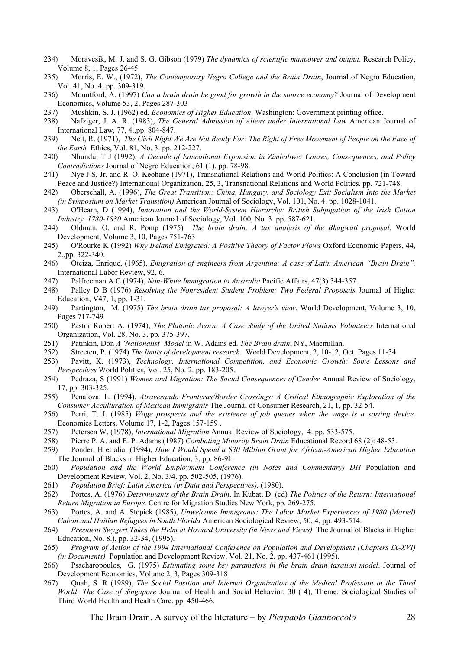- 234) Moravcsik, M. J. and S. G. Gibson (1979) *The dynamics of scientific manpower and output*. Research Policy, Volume 8, 1, Pages 26-45
- 235) Morris, E. W., (1972), *The Contemporary Negro College and the Brain Drain*, Journal of Negro Education, Vol. 41, No. 4. pp. 309-319.
- 236) Mountford, A. (1997) *Can a brain drain be good for growth in the source economy?* Journal of Development Economics, Volume 53, 2, Pages 287-303
- 237) Mushkin, S. J. (1962) ed. *Economics of Higher Education*. Washington: Government printing office.
- 238) Nafziger, J. A. R. (1983), *The General Admission of Aliens under International Law* American Journal of International Law, 77, 4.,pp. 804-847.
- 239) Nett, R. (1971), *The Civil Right We Are Not Ready For: The Right of Free Movement of People on the Face of the Earth* Ethics, Vol. 81, No. 3. pp. 212-227.
- 240) Nhundu, T J (1992), *A Decade of Educational Expansion in Zimbabwe: Causes, Consequences, and Policy Contradictions* Journal of Negro Education, 61 (1). pp. 78-98.
- 241) Nye J S, Jr. and R. O. Keohane (1971), Transnational Relations and World Politics: A Conclusion (in Toward Peace and Justice?) International Organization, 25, 3, Transnational Relations and World Politics. pp. 721-748.
- 242) Oberschall, A. (1996), *The Great Transition: China, Hungary, and Sociology Exit Socialism Into the Market (in Symposium on Market Transition)* American Journal of Sociology, Vol. 101, No. 4. pp. 1028-1041.
- 243) O'Hearn, D (1994), *Innovation and the World-System Hierarchy: British Subjugation of the Irish Cotton Industry, 1780-1830* American Journal of Sociology, Vol. 100, No. 3. pp. 587-621.
- 244) Oldman, O. and R. Pomp (1975) *The brain drain: A tax analysis of the Bhagwati proposal*. World Development, Volume 3, 10, Pages 751-763
- 245) O'Rourke K (1992) *Why Ireland Emigrated: A Positive Theory of Factor Flows* Oxford Economic Papers, 44, 2.,pp. 322-340.
- 246) Oteiza, Enrique, (1965), *Emigration of engineers from Argentina: A case of Latin American "Brain Drain",* International Labor Review, 92, 6.
- 247) Palfreeman A C (1974), *Non-White Immigration to Australia* Pacific Affairs, 47(3) 344-357.
- 248) Palley D B (1976) *Resolving the Nonresident Student Problem: Two Federal Proposals* Journal of Higher Education, V47, 1, pp. 1-31.
- 249) Partington, M. (1975) *The brain drain tax proposal: A lawyer's view*. World Development, Volume 3, 10, Pages 717-749
- 250) Pastor Robert A. (1974), *The Platonic Acorn: A Case Study of the United Nations Volunteers* International Organization, Vol. 28, No. 3. pp. 375-397.
- 251) Patinkin, Don *A 'Nationalist' Model* in W. Adams ed. *The Brain drain*, NY, Macmillan.
- 252) Streeten, P. (1974) *The limits of development research.* World Development, 2, 10-12, Oct. Pages 11-34
- 253) Pavitt, K. (1973), *Technology, International Competition, and Economic Growth: Some Lessons and Perspectives* World Politics, Vol. 25, No. 2. pp. 183-205.
- 254) Pedraza, S (1991) *Women and Migration: The Social Consequences of Gender* Annual Review of Sociology, 17, pp. 303-325.
- 255) Penaloza, L. (1994), *Atravesando Fronteras/Border Crossings: A Critical Ethnographic Exploration of the Consumer Acculturation of Mexican Immigrants* The Journal of Consumer Research, 21, 1, pp. 32-54.
- 256) Perri, T. J. (1985) *Wage prospects and the existence of job queues when the wage is a sorting device.*  Economics Letters, Volume 17, 1-2, Pages 157-159 .
- 257) Petersen W. (1978), *International Migration* Annual Review of Sociology, 4. pp. 533-575.
- 258) Pierre P. A. and E. P. Adams (1987) *Combating Minority Brain Drain* Educational Record 68 (2): 48-53.
- 259) Ponder, H et alia. (1994), *How I Would Spend a \$30 Million Grant for African-American Higher Education* The Journal of Blacks in Higher Education, 3, pp. 86-91.
- 260) *Population and the World Employment Conference (in Notes and Commentary) DH* Population and Development Review, Vol. 2, No. 3/4. pp. 502-505, (1976).
- 261) *Population Brief: Latin America (in Data and Perspectives),* (1980).
- 262) Portes, A. (1976) *Determinants of the Brain Drain*. In Kubat, D. (ed) *The Politics of the Return: International Return Migration in Europe.* Centre for Migration Studies New York, pp. 269-275.
- 263) Portes, A. and A. Stepick (1985), *Unwelcome Immigrants: The Labor Market Experiences of 1980 (Mariel) Cuban and Haitian Refugees in South Florida* American Sociological Review, 50, 4, pp. 493-514.
- 264) *President Swygert Takes the Helm at Howard University (in News and Views)* The Journal of Blacks in Higher Education, No. 8.), pp. 32-34, (1995).
- 265) *Program of Action of the 1994 International Conference on Population and Development (Chapters IX-XVI) (in Documents)* Population and Development Review, Vol. 21, No. 2. pp. 437-461 (1995).
- 266) Psacharopoulos, G. (1975) *Estimating some key parameters in the brain drain taxation model*. Journal of Development Economics, Volume 2, 3, Pages 309-318
- 267) Quah, S. R (1989), *The Social Position and Internal Organization of the Medical Profession in the Third World: The Case of Singapore* Journal of Health and Social Behavior, 30 ( 4), Theme: Sociological Studies of Third World Health and Health Care. pp. 450-466.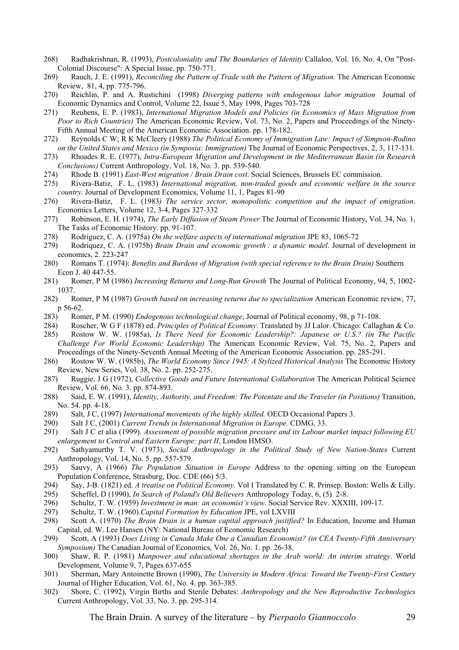- 268) Radhakrishnan, R. (1993), *Postcoloniality and The Boundaries of Identity* Callaloo, Vol. 16, No. 4, On "Post-Colonial Discourse": A Special Issue. pp. 750-771.
- 269) Rauch, J. E. (1991), *Reconciling the Pattern of Trade with the Pattern of Migration.* The American Economic Review, 81, 4, pp. 775-796.
- 270) Reichlin, P. and A. Rustichini (1998) *Diverging patterns with endogenous labor migration* Journal of Economic Dynamics and Control, Volume 22, Issue 5, May 1998, Pages 703-728
- 271) Reubens, E. P. (1983), *International Migration Models and Policies (in Economics of Mass Migration from Poor to Rich Countries)* The American Economic Review, Vol. 73, No. 2, Papers and Proceedings of the Ninety-Fifth Annual Meeting of the American Economic Association. pp. 178-182.
- 272) Reynolds C W; R K McCleery (1988) *The Political Economy of Immigration Law: Impact of Simpson-Rodino on the United States and Mexico (in Symposia: Immigration)* The Journal of Economic Perspectives, 2, 3, 117-131.
- 273) Rhoades R. E. (1977), *Intra-European Migration and Development in the Mediterranean Basin (in Research Conclusions)* Current Anthropology, Vol. 18, No. 3. pp. 539-540.
- 274) Rhode B. (1991) *East-West migration / Brain Drain cost*. Social Sciences, Brussels EC commission.
- 275) Rivera-Batiz, F. L. (1983) *International migration, non-traded goods and economic welfare in the source country.* Journal of Development Economics, Volume 11, 1, Pages 81-90
- 276) Rivera-Batiz, F. L. (1983*) The service sector, monopolistic competition and the impact of emigration*. Economics Letters, Volume 12, 3-4, Pages 327-332
- 277) Robinson, E. H. (1974), *The Early Diffusion of Steam Power* The Journal of Economic History, Vol. 34, No. 1, The Tasks of Economic History. pp. 91-107.
- 278) Rodriguez, C. A. (1975a) *On the welfare aspects of international migration* JPE 83, 1065-72
- 279) Rodriquez, C. A. (1975b) *Brain Drain and economic growth : a dynamic model*. Journal of development in economics, 2. 223-247
- 280) Romans T. (1974): *Benefits and Burdens of Migration (with special reference to the Brain Drain)* Southern Econ J. 40 447-55.
- 281) Romer, P M (1986) *Increasing Returns and Long-Run Growth* The Journal of Political Economy, 94, 5, 1002- 1037.
- 282) Romer, P M (1987) *Growth based on increasing returns due to specialization* American Economic review, 77, p 56-62.
- 283) Romer, P M. (1990) *Endogenous technological change*, Journal of Political economy, 98, p 71-108.
- 284) Roscher, W G F (1878) ed. *Principles of Political Economy*. Translated by JJ Lalor. Chicago: Callaghan & Co.
- 285) Rostow W. W. (1985a), *Is There Need for Economic Leadership?: Japanese or U.S.? (in The Pacific Challenge For World Economic Leadership)* The American Economic Review, Vol. 75, No. 2, Papers and Proceedings of the Ninety-Seventh Annual Meeting of the American Economic Association. pp. 285-291.
- 286) Rostow W. W. (1985b), *The World Economy Since 1945: A Stylized Historical Analysis* The Economic History Review, New Series, Vol. 38, No. 2. pp. 252-275.
- 287) Ruggie, J G (1972), *Collective Goods and Future International Collaboration* The American Political Science Review, Vol. 66, No. 3. pp. 874-893.
- 288) Said, E. W. (1991), *Identity, Authority, and Freedom: The Potentate and the Traveler (in Positions)* Transition, No. 54. pp. 4-18.
- 289) Salt, J C, (1997) *International movements of the highly skilled.* OECD Occasional Papers 3.
- 290) Salt J C, (2001) *Current Trends in International Migration in Europe.* CDMG, 33.
- 291) Salt J C et alia (1999). *Assessment of possible migration pressure and its Labour market impact following EU enlargement to Central and Eastern Europe: part II*, London HMSO.
- 292) Sathyamurthy T. V. (1973), *Social Anthropology in the Political Study of New Nation-States* Current Anthropology, Vol. 14, No. 5. pp. 557-579.
- 293) Sauvy, A (1966) *The Population Situation in Europe* Address to the opening sitting on the European Population Conference, Strasburg, Doc. CDE (66) 5/3.
- 294) Say, J-B. (1821) ed. *A treatise on Political Economy.* Vol I Translated by C. R. Prinsep. Boston: Wells & Lilly.
- 295) Scheffel, D (1990), *In Search of Poland's Old Believers* Anthropology Today, 6, (5) 2-8.
- 296) Schultz, T. W. (1959) *Investment in man: an economist's view.* Social Service Rev. XXXIII, 109-17.
- 297) Schultz, T. W. (1960).*Capital Formation by Education* JPE, vol LXVIII
- 298) Scott A. (1970) *The Brain Drain is a human capital approach justified?* In Education, Income and Human Capital, ed. W. Lee Hansen (NY: National Bureau of Economic Research)
- 299) Scott, A (1993) *Does Living in Canada Make One a Canadian Economist? (in CEA Twenty-Fifth Anniversary Symposium)* The Canadian Journal of Economics, Vol. 26, No. 1. pp. 26-38.
- 300) Shaw, R. P. (1981) *Manpower and educational shortages in the Arab world: An interim strategy*. World Development, Volume 9, 7, Pages 637-655
- 301) Sherman, Mary Antoinette Brown (1990), *The University in Modern Africa: Toward the Twenty-First Century* Journal of Higher Education, Vol. 61, No. 4. pp. 363-385.
- 302) Shore, C. (1992), Virgin Births and Sterile Debates: *Anthropology and the New Reproductive Technologies* Current Anthropology, Vol. 33, No. 3. pp. 295-314.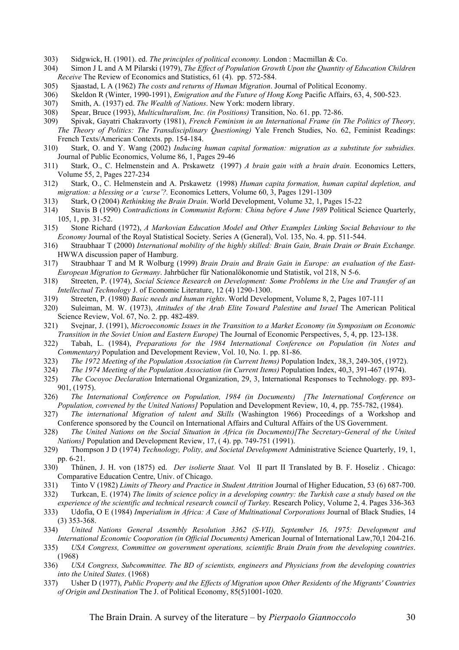- 303) Sidgwick, H. (1901). ed. *The principles of political economy.* London : Macmillan & Co.
- 304) Simon J L and A M Pilarski (1979), *The Effect of Population Growth Upon the Quantity of Education Children Receive* The Review of Economics and Statistics, 61 (4). pp. 572-584.
- 305) Sjaastad, L A (1962) *The costs and returns of Human Migration*. Journal of Political Economy.
- 306) Skeldon R (Winter, 1990-1991), *Emigration and the Future of Hong Kong* Pacific Affairs, 63, 4, 500-523.
- 307) Smith, A. (1937) ed. *The Wealth of Nations*. New York: modern library.
- 308) Spear, Bruce (1993), *Multiculturalism, Inc. (in Positions)* Transition, No. 61. pp. 72-86.
- 309) Spivak, Gayatri Chakravorty (1981), *French Feminism in an International Frame (in The Politics of Theory, The Theory of Politics: The Transdisciplinary Questioning)* Yale French Studies, No. 62, Feminist Readings: French Texts/American Contexts. pp. 154-184.
- 310) Stark, O. and Y. Wang (2002) *Inducing human capital formation: migration as a substitute for subsidies.*  Journal of Public Economics, Volume 86, 1, Pages 29-46
- 311) Stark, O., C. Helmenstein and A. Prskawetz (1997) *A brain gain with a brain drain.* Economics Letters, Volume 55, 2, Pages 227-234
- 312) Stark, O., C. Helmenstein and A. Prskawetz (1998) *Human capita formation, human capital depletion, and migration: a blessing or a 'curse'?.* Economics Letters, Volume 60, 3, Pages 1291-1309
- 313) Stark, O (2004) *Rethinking the Brain Drain*. World Development, Volume 32, 1, Pages 15-22
- 314) Stavis B (1990) *Contradictions in Communist Reform: China before 4 June 1989* Political Science Quarterly, 105, 1, pp. 31-52.
- 315) Stone Richard (1972), *A Markovian Education Model and Other Examples Linking Social Behaviour to the Economy* Journal of the Royal Statistical Society. Series A (General), Vol. 135, No. 4. pp. 511-544.
- 316) Straubhaar T (2000) *International mobility of the highly skilled: Brain Gain, Brain Drain or Brain Exchange.* HWWA discussion paper of Hamburg.
- 317) Straubhaar T and M R Wolburg (1999) *Brain Drain and Brain Gain in Europe: an evaluation of the East-European Migration to Germany*. Jahrbücher für Nationalökonomie und Statistik, vol 218, N 5-6.
- 318) Streeten, P. (1974), *Social Science Research on Development: Some Problems in the Use and Transfer of an Intellectual Technology* J. of Economic Literature, 12 (4) 1290-1300.
- 319) Streeten, P. (1980) *Basic needs and human rights*. World Development, Volume 8, 2, Pages 107-111
- 320) Suleiman, M. W. (1973), *Attitudes of the Arab Elite Toward Palestine and Israel* The American Political Science Review, Vol. 67, No. 2. pp. 482-489.
- 321) Svejnar, J. (1991), *Microeconomic Issues in the Transition to a Market Economy (in Symposium on Economic Transition in the Soviet Union and Eastern Europe)* The Journal of Economic Perspectives, 5, 4, pp. 123-138.
- 322) Tabah, L. (1984), *Preparations for the 1984 International Conference on Population (in Notes and Commentary)* Population and Development Review, Vol. 10, No. 1. pp. 81-86.
- 323) *The 1972 Meeting of the Population Association (in Current Items)* Population Index, 38,3, 249-305, (1972).
- 324) *The 1974 Meeting of the Population Association (in Current Items)* Population Index, 40,3, 391-467 (1974).
- 325) *The Cocoyoc Declaration* International Organization, 29, 3, International Responses to Technology. pp. 893- 901, (1975).
- 326) *The International Conference on Population, 1984 (in Documents) [The International Conference on Population, convened by the United Nations]* Population and Development Review, 10, 4, pp. 755-782, (1984).
- 327) *The international Migration of talent and Skills* (Washington 1966) Proceedings of a Workshop and Conference sponsored by the Council on International Affairs and Cultural Affairs of the US Government.
- 328) *The United Nations on the Social Situation in Africa (in Documents)[The Secretary-General of the United Nations]* Population and Development Review, 17, ( 4). pp. 749-751 (1991).
- 329) Thompson J D (1974) *Technology, Polity, and Societal Development* Administrative Science Quarterly, 19, 1, pp. 6-21.
- 330) Thünen, J. H. von (1875) ed. *Der isolierte Staat.* Vol II part II Translated by B. F. Hoseliz . Chicago: Comparative Education Centre, Univ. of Chicago.
- 331) Tinto V (1982) *Limits of Theory and Practice in Student Attrition* Journal of Higher Education, 53 (6) 687-700.
- 332) Turkcan, E. (1974) *The limits of science policy in a developing country: the Turkish case a study based on the*
- *experience of the scientific and technical research council of Turkey.* Research Policy, Volume 2, 4. Pages 336-363 333) Udofia, O E (1984) *Imperialism in Africa: A Case of Multinational Corporations* Journal of Black Studies, 14
- (3) 353-368. 334) *United Nations General Assembly Resolution 3362 (S-VII), September 16, 1975: Development and International Economic Cooporation (in Official Documents)* American Journal of International Law,70,1 204-216.
- 335) *USA Congress, Committee on government operations, scientific Brain Drain from the developing countries*. (1968)
- 336) *USA Congress, Subcommittee. The BD of scientists, engineers and Physicians from the developing countries into the United States*. (1968)
- 337) Usher D (1977), *Public Property and the Effects of Migration upon Other Residents of the Migrants' Countries of Origin and Destination* The J. of Political Economy, 85(5)1001-1020.